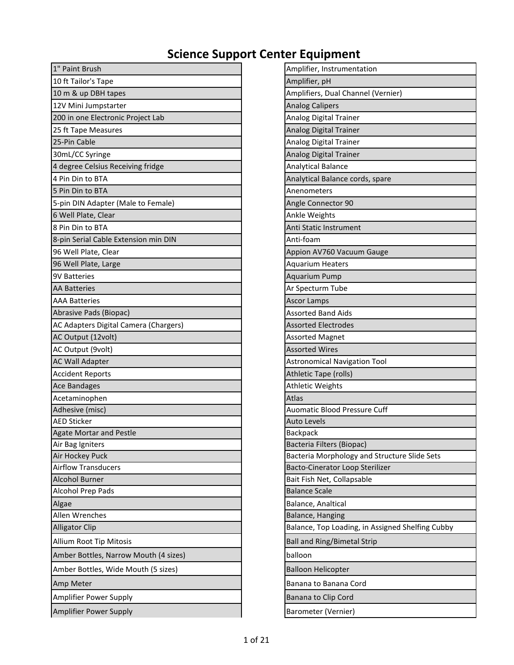| 1" Paint Brush                             | Amplifier, Instrumentation                         |
|--------------------------------------------|----------------------------------------------------|
| 10 ft Tailor's Tape                        | Amplifier, pH                                      |
| 10 m & up DBH tapes                        | Amplifiers, Dual Channel (Vernier)                 |
| 12V Mini Jumpstarter                       | <b>Analog Calipers</b>                             |
| 200 in one Electronic Project Lab          | Analog Digital Trainer                             |
| 25 ft Tape Measures                        | Analog Digital Trainer                             |
| 25-Pin Cable                               | Analog Digital Trainer                             |
| 30mL/CC Syringe                            | Analog Digital Trainer                             |
| 4 degree Celsius Receiving fridge          | <b>Analytical Balance</b>                          |
| 4 Pin Din to BTA                           | Analytical Balance cords, spare                    |
| 5 Pin Din to BTA                           | Anenometers                                        |
| 5-pin DIN Adapter (Male to Female)         | Angle Connector 90                                 |
| 6 Well Plate, Clear                        | Ankle Weights                                      |
| 8 Pin Din to BTA                           | Anti Static Instrument                             |
| 8-pin Serial Cable Extension min DIN       | Anti-foam                                          |
| 96 Well Plate, Clear                       | Appion AV760 Vacuum Gauge                          |
| 96 Well Plate, Large                       | <b>Aquarium Heaters</b>                            |
| <b>9V Batteries</b>                        | <b>Aquarium Pump</b>                               |
| <b>AA Batteries</b>                        | Ar Specturm Tube                                   |
| <b>AAA Batteries</b>                       | <b>Ascor Lamps</b>                                 |
| Abrasive Pads (Biopac)                     | <b>Assorted Band Aids</b>                          |
| AC Adapters Digital Camera (Chargers)      | <b>Assorted Electrodes</b>                         |
| AC Output (12volt)                         | Assorted Magnet                                    |
| AC Output (9volt)                          | <b>Assorted Wires</b>                              |
| <b>AC Wall Adapter</b>                     | <b>Astronomical Navigation Tool</b>                |
| <b>Accident Reports</b>                    | Athletic Tape (rolls)                              |
| <b>Ace Bandages</b>                        | <b>Athletic Weights</b>                            |
| Acetaminophen                              | Atlas                                              |
| Adhesive (misc)                            | <b>Auomatic Blood Pressure Cuff</b>                |
| <b>AED Sticker</b>                         | <b>Auto Levels</b>                                 |
| <b>Agate Mortar and Pestle</b>             | <b>Backpack</b>                                    |
| Air Bag Igniters                           | Bacteria Filters (Biopac)                          |
| Air Hockey Puck                            | Bacteria Morphology and Structure Slide Sets       |
| <b>Airflow Transducers</b>                 | Bacto-Cinerator Loop Sterilizer                    |
| <b>Alcohol Burner</b><br>Alcohol Prep Pads | Bait Fish Net, Collapsable<br><b>Balance Scale</b> |
|                                            |                                                    |
| Algae<br>Allen Wrenches                    | Balance, Analtical<br>Balance, Hanging             |
|                                            | Balance, Top Loading, in Assigned Shelfing Cubby   |
| <b>Alligator Clip</b>                      |                                                    |
| Allium Root Tip Mitosis                    | <b>Ball and Ring/Bimetal Strip</b>                 |
| Amber Bottles, Narrow Mouth (4 sizes)      | balloon                                            |
| Amber Bottles, Wide Mouth (5 sizes)        | <b>Balloon Helicopter</b>                          |
| Amp Meter                                  | Banana to Banana Cord                              |
| Amplifier Power Supply                     | Banana to Clip Cord                                |
| Amplifier Power Supply                     | Barometer (Vernier)                                |

| Amplifier, Instrumentation                       |
|--------------------------------------------------|
| Amplifier, pH                                    |
| Amplifiers, Dual Channel (Vernier)               |
| <b>Analog Calipers</b>                           |
| Analog Digital Trainer                           |
| Analog Digital Trainer                           |
| Analog Digital Trainer                           |
| Analog Digital Trainer                           |
| <b>Analytical Balance</b>                        |
| Analytical Balance cords, spare                  |
| Anenometers                                      |
| Angle Connector 90                               |
| Ankle Weights                                    |
| Anti Static Instrument                           |
| Anti-foam                                        |
| Appion AV760 Vacuum Gauge                        |
| <b>Aquarium Heaters</b>                          |
| <b>Aquarium Pump</b>                             |
| Ar Specturm Tube                                 |
| <b>Ascor Lamps</b>                               |
| <b>Assorted Band Aids</b>                        |
| <b>Assorted Electrodes</b>                       |
| <b>Assorted Magnet</b>                           |
| <b>Assorted Wires</b>                            |
| <b>Astronomical Navigation Tool</b>              |
| Athletic Tape (rolls)                            |
| Athletic Weights                                 |
| Atlas                                            |
| Auomatic Blood Pressure Cuff                     |
| <b>Auto Levels</b>                               |
| <b>Backpack</b>                                  |
| Bacteria Filters (Biopac)                        |
| Bacteria Morphology and Structure Slide Sets     |
| Bacto-Cinerator Loop Sterilizer                  |
| Bait Fish Net, Collapsable                       |
| <b>Balance Scale</b>                             |
| Balance, Analtical                               |
| Balance, Hanging                                 |
| Balance, Top Loading, in Assigned Shelfing Cubby |
| <b>Ball and Ring/Bimetal Strip</b>               |
| balloon                                          |
| <b>Balloon Helicopter</b>                        |
| Banana to Banana Cord                            |
| Banana to Clip Cord                              |
| Barometer (Vernier)                              |
|                                                  |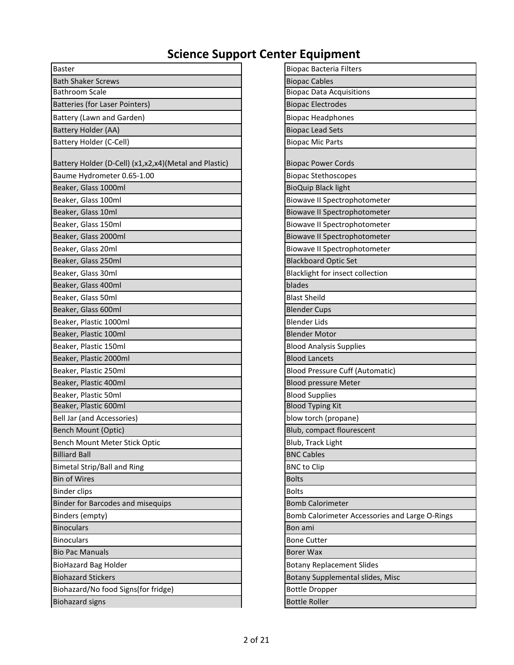| <b>Baster</b>                                          | <b>Biopac Bacteria Filters</b>                 |
|--------------------------------------------------------|------------------------------------------------|
| <b>Bath Shaker Screws</b>                              | <b>Biopac Cables</b>                           |
| <b>Bathroom Scale</b>                                  | <b>Biopac Data Acquisitions</b>                |
| Batteries (for Laser Pointers)                         | <b>Biopac Electrodes</b>                       |
| Battery (Lawn and Garden)                              | <b>Biopac Headphones</b>                       |
| Battery Holder (AA)                                    | <b>Biopac Lead Sets</b>                        |
| Battery Holder (C-Cell)                                | <b>Biopac Mic Parts</b>                        |
| Battery Holder (D-Cell) (x1,x2,x4) (Metal and Plastic) | <b>Biopac Power Cords</b>                      |
| Baume Hydrometer 0.65-1.00                             | <b>Biopac Stethoscopes</b>                     |
| Beaker, Glass 1000ml                                   | <b>BioQuip Black light</b>                     |
| Beaker, Glass 100ml                                    | Biowave II Spectrophotometer                   |
| Beaker, Glass 10ml                                     | Biowave II Spectrophotometer                   |
| Beaker, Glass 150ml                                    | Biowave II Spectrophotometer                   |
| Beaker, Glass 2000ml                                   | Biowave II Spectrophotometer                   |
| Beaker, Glass 20ml                                     | Biowave II Spectrophotometer                   |
| Beaker, Glass 250ml                                    | <b>Blackboard Optic Set</b>                    |
| Beaker, Glass 30ml                                     | Blacklight for insect collection               |
| Beaker, Glass 400ml                                    | blades                                         |
| Beaker, Glass 50ml                                     | <b>Blast Sheild</b>                            |
| Beaker, Glass 600ml                                    | <b>Blender Cups</b>                            |
| Beaker, Plastic 1000ml                                 | <b>Blender Lids</b>                            |
| Beaker, Plastic 100ml                                  | <b>Blender Motor</b>                           |
| Beaker, Plastic 150ml                                  | <b>Blood Analysis Supplies</b>                 |
| Beaker, Plastic 2000ml                                 | <b>Blood Lancets</b>                           |
| Beaker, Plastic 250ml                                  | <b>Blood Pressure Cuff (Automatic)</b>         |
| Beaker, Plastic 400ml                                  | <b>Blood pressure Meter</b>                    |
| Beaker, Plastic 50ml                                   | <b>Blood Supplies</b>                          |
| Beaker, Plastic 600ml                                  | <b>Blood Typing Kit</b>                        |
| Bell Jar (and Accessories)                             | blow torch (propane)                           |
| Bench Mount (Optic)                                    | Blub, compact flourescent                      |
| Bench Mount Meter Stick Optic                          | Blub, Track Light                              |
| <b>Billiard Ball</b>                                   | <b>BNC Cables</b>                              |
| <b>Bimetal Strip/Ball and Ring</b>                     | <b>BNC</b> to Clip                             |
| <b>Bin of Wires</b>                                    | <b>Bolts</b>                                   |
| <b>Binder clips</b>                                    | <b>Bolts</b>                                   |
| Binder for Barcodes and misequips                      | <b>Bomb Calorimeter</b>                        |
| Binders (empty)                                        | Bomb Calorimeter Accessories and Large O-Rings |
| <b>Binoculars</b>                                      | Bon ami                                        |
| <b>Binoculars</b>                                      | <b>Bone Cutter</b>                             |
| <b>Bio Pac Manuals</b>                                 | <b>Borer Wax</b>                               |
| <b>BioHazard Bag Holder</b>                            | <b>Botany Replacement Slides</b>               |
| <b>Biohazard Stickers</b>                              | Botany Supplemental slides, Misc               |
| Biohazard/No food Signs(for fridge)                    | <b>Bottle Dropper</b>                          |
| <b>Biohazard signs</b>                                 | <b>Bottle Roller</b>                           |

| <b>Biopac Bacteria Filters</b>                 |
|------------------------------------------------|
| <b>Biopac Cables</b>                           |
| <b>Biopac Data Acquisitions</b>                |
| <b>Biopac Electrodes</b>                       |
| <b>Biopac Headphones</b>                       |
| <b>Biopac Lead Sets</b>                        |
| <b>Biopac Mic Parts</b>                        |
|                                                |
| <b>Biopac Power Cords</b>                      |
| <b>Biopac Stethoscopes</b>                     |
| <b>BioQuip Black light</b>                     |
| Biowave II Spectrophotometer                   |
| <b>Biowave II Spectrophotometer</b>            |
| Biowave II Spectrophotometer                   |
| Biowave II Spectrophotometer                   |
| Biowave II Spectrophotometer                   |
| <b>Blackboard Optic Set</b>                    |
| Blacklight for insect collection               |
| blades                                         |
| <b>Blast Sheild</b>                            |
| <b>Blender Cups</b>                            |
| <b>Blender Lids</b>                            |
| <b>Blender Motor</b>                           |
| <b>Blood Analysis Supplies</b>                 |
| <b>Blood Lancets</b>                           |
| <b>Blood Pressure Cuff (Automatic)</b>         |
| <b>Blood pressure Meter</b>                    |
| <b>Blood Supplies</b>                          |
| <b>Blood Typing Kit</b>                        |
| blow torch (propane)                           |
| Blub, compact flourescent                      |
| Blub, Track Light                              |
| <b>BNC Cables</b>                              |
| <b>BNC</b> to Clip                             |
| <b>Bolts</b>                                   |
| <b>Bolts</b>                                   |
| <b>Bomb Calorimeter</b>                        |
| Bomb Calorimeter Accessories and Large O-Rings |
| Bon ami                                        |
| <b>Bone Cutter</b>                             |
| <b>Borer Wax</b>                               |
| <b>Botany Replacement Slides</b>               |
| Botany Supplemental slides, Misc               |
| <b>Bottle Dropper</b>                          |
| <b>Bottle Roller</b>                           |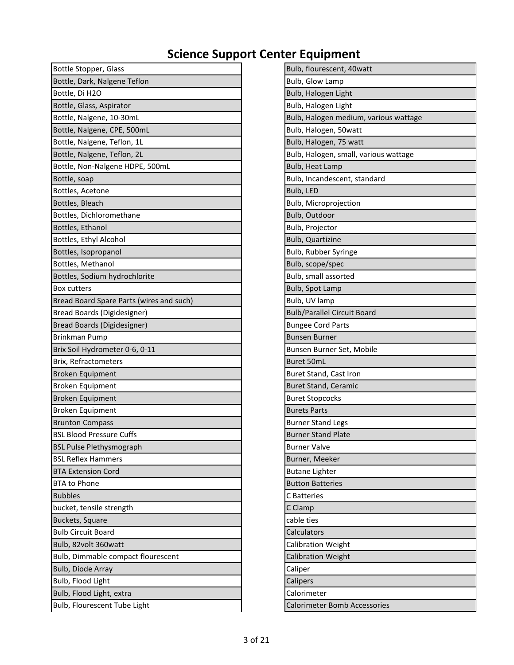| Bottle Stopper, Glass                    | Bulb, flourescent, 40watt             |
|------------------------------------------|---------------------------------------|
| Bottle, Dark, Nalgene Teflon             | <b>Bulb, Glow Lamp</b>                |
| Bottle, Di H2O                           | Bulb, Halogen Light                   |
| Bottle, Glass, Aspirator                 | Bulb, Halogen Light                   |
| Bottle, Nalgene, 10-30mL                 | Bulb, Halogen medium, various wattage |
| Bottle, Nalgene, CPE, 500mL              | Bulb, Halogen, 50watt                 |
| Bottle, Nalgene, Teflon, 1L              | Bulb, Halogen, 75 watt                |
| Bottle, Nalgene, Teflon, 2L              | Bulb, Halogen, small, various wattage |
| Bottle, Non-Nalgene HDPE, 500mL          | Bulb, Heat Lamp                       |
| Bottle, soap                             | Bulb, Incandescent, standard          |
| Bottles, Acetone                         | Bulb, LED                             |
| Bottles, Bleach                          | Bulb, Microprojection                 |
| Bottles, Dichloromethane                 | Bulb, Outdoor                         |
| Bottles, Ethanol                         | Bulb, Projector                       |
| Bottles, Ethyl Alcohol                   | <b>Bulb, Quartizine</b>               |
| Bottles, Isopropanol                     | Bulb, Rubber Syringe                  |
| Bottles, Methanol                        | Bulb, scope/spec                      |
| Bottles, Sodium hydrochlorite            | Bulb, small assorted                  |
| <b>Box cutters</b>                       | Bulb, Spot Lamp                       |
| Bread Board Spare Parts (wires and such) | Bulb, UV lamp                         |
| Bread Boards (Digidesigner)              | <b>Bulb/Parallel Circuit Board</b>    |
| Bread Boards (Digidesigner)              | <b>Bungee Cord Parts</b>              |
| Brinkman Pump                            | <b>Bunsen Burner</b>                  |
| Brix Soil Hydrometer 0-6, 0-11           | Bunsen Burner Set, Mobile             |
| Brix, Refractometers                     | Buret 50mL                            |
| <b>Broken Equipment</b>                  | Buret Stand, Cast Iron                |
| <b>Broken Equipment</b>                  | <b>Buret Stand, Ceramic</b>           |
| <b>Broken Equipment</b>                  | <b>Buret Stopcocks</b>                |
| <b>Broken Equipment</b>                  | <b>Burets Parts</b>                   |
| <b>Brunton Compass</b>                   | <b>Burner Stand Legs</b>              |
| <b>BSL Blood Pressure Cuffs</b>          | <b>Burner Stand Plate</b>             |
| <b>BSL Pulse Plethysmograph</b>          | <b>Burner Valve</b>                   |
| <b>BSL Reflex Hammers</b>                | Burner, Meeker                        |
| <b>BTA Extension Cord</b>                | <b>Butane Lighter</b>                 |
| <b>BTA to Phone</b>                      | <b>Button Batteries</b>               |
| <b>Bubbles</b>                           | C Batteries                           |
| bucket, tensile strength                 | C Clamp                               |
| Buckets, Square                          | cable ties                            |
| <b>Bulb Circuit Board</b>                | Calculators                           |
| Bulb, 82volt 360watt                     | <b>Calibration Weight</b>             |
| Bulb, Dimmable compact flourescent       | <b>Calibration Weight</b>             |
| Bulb, Diode Array                        | Caliper                               |
| Bulb, Flood Light                        | Calipers                              |
| Bulb, Flood Light, extra                 | Calorimeter                           |
| Bulb, Flourescent Tube Light             | <b>Calorimeter Bomb Accessories</b>   |

| Bulb, flourescent, 40watt             |
|---------------------------------------|
| Bulb, Glow Lamp                       |
| Bulb, Halogen Light                   |
| Bulb, Halogen Light                   |
| Bulb, Halogen medium, various wattage |
| Bulb, Halogen, 50watt                 |
| Bulb, Halogen, 75 watt                |
| Bulb, Halogen, small, various wattage |
| Bulb, Heat Lamp                       |
| Bulb, Incandescent, standard          |
| Bulb, LED                             |
| Bulb, Microprojection                 |
| Bulb, Outdoor                         |
| Bulb, Projector                       |
| Bulb, Quartizine                      |
| Bulb, Rubber Syringe                  |
| Bulb, scope/spec                      |
| Bulb, small assorted                  |
| Bulb, Spot Lamp                       |
| Bulb, UV lamp                         |
| <b>Bulb/Parallel Circuit Board</b>    |
| <b>Bungee Cord Parts</b>              |
| <b>Bunsen Burner</b>                  |
| Bunsen Burner Set, Mobile             |
| <b>Buret 50mL</b>                     |
| Buret Stand, Cast Iron                |
| <b>Buret Stand, Ceramic</b>           |
| <b>Buret Stopcocks</b>                |
| Burets Parts                          |
| <b>Burner Stand Legs</b>              |
| <b>Burner Stand Plate</b>             |
| <b>Burner Valve</b>                   |
| Burner, Meeker                        |
| <b>Butane Lighter</b>                 |
| <b>Button Batteries</b>               |
| C Batteries                           |
| C Clamp                               |
| cable ties                            |
| Calculators                           |
| <b>Calibration Weight</b>             |
| <b>Calibration Weight</b>             |
| Caliper                               |
| Calipers                              |
| Calorimeter                           |
| <b>Calorimeter Bomb Accessories</b>   |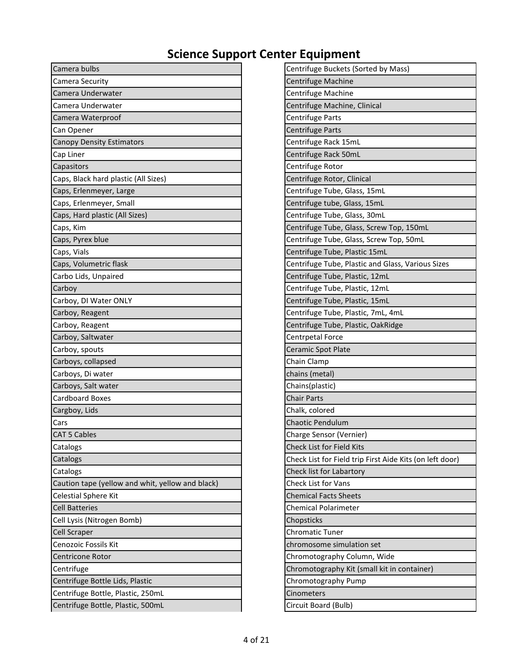| Camera bulbs                                     | Centrifuge Buckets (Sorted by Mass)                      |
|--------------------------------------------------|----------------------------------------------------------|
| <b>Camera Security</b>                           | Centrifuge Machine                                       |
| Camera Underwater                                | Centrifuge Machine                                       |
| Camera Underwater                                | Centrifuge Machine, Clinical                             |
| Camera Waterproof                                | Centrifuge Parts                                         |
| Can Opener                                       | Centrifuge Parts                                         |
| <b>Canopy Density Estimators</b>                 | Centrifuge Rack 15mL                                     |
| Cap Liner                                        | Centrifuge Rack 50mL                                     |
| Capasitors                                       | Centrifuge Rotor                                         |
| Caps, Black hard plastic (All Sizes)             | Centrifuge Rotor, Clinical                               |
| Caps, Erlenmeyer, Large                          | Centrifuge Tube, Glass, 15mL                             |
| Caps, Erlenmeyer, Small                          | Centrifuge tube, Glass, 15mL                             |
| Caps, Hard plastic (All Sizes)                   | Centrifuge Tube, Glass, 30mL                             |
| Caps, Kim                                        | Centrifuge Tube, Glass, Screw Top, 150mL                 |
| Caps, Pyrex blue                                 | Centrifuge Tube, Glass, Screw Top, 50mL                  |
| Caps, Vials                                      | Centrifuge Tube, Plastic 15mL                            |
| Caps, Volumetric flask                           | Centrifuge Tube, Plastic and Glass, Various Sizes        |
| Carbo Lids, Unpaired                             | Centrifuge Tube, Plastic, 12mL                           |
| Carboy                                           | Centrifuge Tube, Plastic, 12mL                           |
| Carboy, DI Water ONLY                            | Centrifuge Tube, Plastic, 15mL                           |
| Carboy, Reagent                                  | Centrifuge Tube, Plastic, 7mL, 4mL                       |
| Carboy, Reagent                                  | Centrifuge Tube, Plastic, OakRidge                       |
| Carboy, Saltwater                                | Centrpetal Force                                         |
| Carboy, spouts                                   | Ceramic Spot Plate                                       |
| Carboys, collapsed                               | Chain Clamp                                              |
| Carboys, Di water                                | chains (metal)                                           |
| Carboys, Salt water                              | Chains(plastic)                                          |
| <b>Cardboard Boxes</b>                           | <b>Chair Parts</b>                                       |
| Cargboy, Lids                                    | Chalk, colored                                           |
| Cars                                             | <b>Chaotic Pendulum</b>                                  |
| <b>CAT 5 Cables</b>                              | Charge Sensor (Vernier)                                  |
| Catalogs                                         | Check List for Field Kits                                |
| Catalogs                                         | Check List for Field trip First Aide Kits (on left door) |
| Catalogs                                         | Check list for Labartory                                 |
| Caution tape (yellow and whit, yellow and black) | <b>Check List for Vans</b>                               |
| <b>Celestial Sphere Kit</b>                      | <b>Chemical Facts Sheets</b>                             |
| <b>Cell Batteries</b>                            | <b>Chemical Polarimeter</b>                              |
| Cell Lysis (Nitrogen Bomb)                       | Chopsticks                                               |
| <b>Cell Scraper</b>                              | <b>Chromatic Tuner</b>                                   |
| Cenozoic Fossils Kit                             | chromosome simulation set                                |
| Centricone Rotor                                 | Chromotography Column, Wide                              |
| Centrifuge                                       | Chromotography Kit (small kit in container)              |
| Centrifuge Bottle Lids, Plastic                  | Chromotography Pump                                      |
| Centrifuge Bottle, Plastic, 250mL                | <b>Cinometers</b>                                        |
| Centrifuge Bottle, Plastic, 500mL                | Circuit Board (Bulb)                                     |

| Centrifuge Buckets (Sorted by Mass)                      |
|----------------------------------------------------------|
| Centrifuge Machine                                       |
| Centrifuge Machine                                       |
| Centrifuge Machine, Clinical                             |
| Centrifuge Parts                                         |
| <b>Centrifuge Parts</b>                                  |
| Centrifuge Rack 15mL                                     |
| Centrifuge Rack 50mL                                     |
| Centrifuge Rotor                                         |
| Centrifuge Rotor, Clinical                               |
| Centrifuge Tube, Glass, 15mL                             |
| Centrifuge tube, Glass, 15mL                             |
| Centrifuge Tube, Glass, 30mL                             |
| Centrifuge Tube, Glass, Screw Top, 150mL                 |
| Centrifuge Tube, Glass, Screw Top, 50mL                  |
| Centrifuge Tube, Plastic 15mL                            |
| Centrifuge Tube, Plastic and Glass, Various Sizes        |
| Centrifuge Tube, Plastic, 12mL                           |
| Centrifuge Tube, Plastic, 12mL                           |
| Centrifuge Tube, Plastic, 15mL                           |
| Centrifuge Tube, Plastic, 7mL, 4mL                       |
| Centrifuge Tube, Plastic, OakRidge                       |
| Centrpetal Force                                         |
| Ceramic Spot Plate                                       |
| Chain Clamp                                              |
| chains (metal)                                           |
| Chains(plastic)                                          |
| <b>Chair Parts</b>                                       |
| Chalk, colored                                           |
| <b>Chaotic Pendulum</b>                                  |
| Charge Sensor (Vernier)                                  |
| <b>Check List for Field Kits</b>                         |
| Check List for Field trip First Aide Kits (on left door) |
| Check list for Labartory                                 |
| Check List for Vans                                      |
| <b>Chemical Facts Sheets</b>                             |
| <b>Chemical Polarimeter</b>                              |
| Chopsticks                                               |
| <b>Chromatic Tuner</b>                                   |
| chromosome simulation set                                |
| Chromotography Column, Wide                              |
| Chromotography Kit (small kit in container)              |
| Chromotography Pump                                      |
| Cinometers                                               |
| Circuit Board (Bulb)                                     |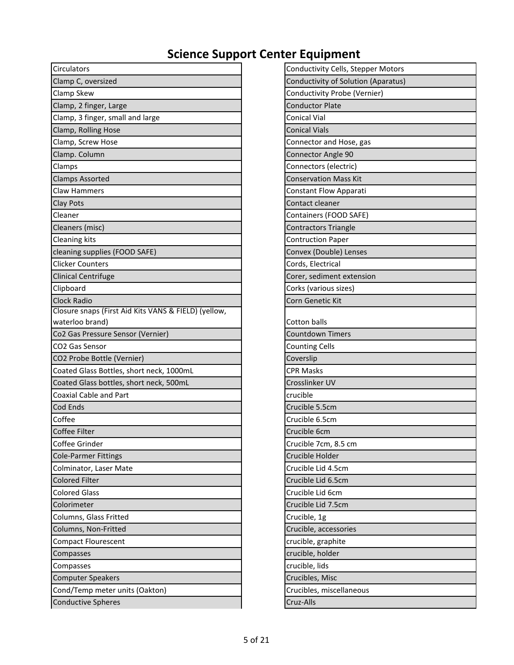| Circulators                                          | Conductivity Cells, Stepper Motors  |
|------------------------------------------------------|-------------------------------------|
| Clamp C, oversized                                   | Conductivity of Solution (Aparatus) |
| Clamp Skew                                           | Conductivity Probe (Vernier)        |
| Clamp, 2 finger, Large                               | <b>Conductor Plate</b>              |
| Clamp, 3 finger, small and large                     | <b>Conical Vial</b>                 |
| Clamp, Rolling Hose                                  | <b>Conical Vials</b>                |
| Clamp, Screw Hose                                    | Connector and Hose, gas             |
| Clamp. Column                                        | <b>Connector Angle 90</b>           |
| Clamps                                               | Connectors (electric)               |
| <b>Clamps Assorted</b>                               | <b>Conservation Mass Kit</b>        |
| <b>Claw Hammers</b>                                  | Constant Flow Apparati              |
| Clay Pots                                            | Contact cleaner                     |
| Cleaner                                              | Containers (FOOD SAFE)              |
| Cleaners (misc)                                      | <b>Contractors Triangle</b>         |
| Cleaning kits                                        | <b>Contruction Paper</b>            |
| cleaning supplies (FOOD SAFE)                        | Convex (Double) Lenses              |
| <b>Clicker Counters</b>                              | Cords, Electrical                   |
| <b>Clinical Centrifuge</b>                           | Corer, sediment extension           |
| Clipboard                                            | Corks (various sizes)               |
| <b>Clock Radio</b>                                   | Corn Genetic Kit                    |
| Closure snaps (First Aid Kits VANS & FIELD) (yellow, |                                     |
| waterloo brand)                                      | Cotton balls                        |
| Co2 Gas Pressure Sensor (Vernier)                    | <b>Countdown Timers</b>             |
| CO2 Gas Sensor                                       | <b>Counting Cells</b>               |
| CO2 Probe Bottle (Vernier)                           | Coverslip                           |
| Coated Glass Bottles, short neck, 1000mL             | <b>CPR Masks</b>                    |
| Coated Glass bottles, short neck, 500mL              | Crosslinker UV                      |
| <b>Coaxial Cable and Part</b>                        | crucible                            |
| Cod Ends                                             | Crucible 5.5cm                      |
| Coffee                                               | Crucible 6.5cm                      |
| Coffee Filter                                        | Crucible 6cm                        |
| Coffee Grinder                                       | Crucible 7cm, 8.5 cm                |
| <b>Cole-Parmer Fittings</b>                          | Crucible Holder                     |
| Colminator, Laser Mate                               | Crucible Lid 4.5cm                  |
| <b>Colored Filter</b>                                | Crucible Lid 6.5cm                  |
| <b>Colored Glass</b>                                 | Crucible Lid 6cm                    |
| Colorimeter                                          | Crucible Lid 7.5cm                  |
| Columns, Glass Fritted                               | Crucible, 1g                        |
| Columns, Non-Fritted                                 | Crucible, accessories               |
| Compact Flourescent                                  | crucible, graphite                  |
| Compasses                                            | crucible, holder                    |
| Compasses                                            | crucible, lids                      |
| <b>Computer Speakers</b>                             | Crucibles, Misc                     |
| Cond/Temp meter units (Oakton)                       | Crucibles, miscellaneous            |
| <b>Conductive Spheres</b>                            | Cruz-Alls                           |

| Conductivity Cells, Stepper Motors  |
|-------------------------------------|
| Conductivity of Solution (Aparatus) |
| Conductivity Probe (Vernier)        |
| <b>Conductor Plate</b>              |
| <b>Conical Vial</b>                 |
| <b>Conical Vials</b>                |
| Connector and Hose, gas             |
| Connector Angle 90                  |
| Connectors (electric)               |
| <b>Conservation Mass Kit</b>        |
| <b>Constant Flow Apparati</b>       |
| Contact cleaner                     |
| Containers (FOOD SAFE)              |
| <b>Contractors Triangle</b>         |
| <b>Contruction Paper</b>            |
| Convex (Double) Lenses              |
| Cords, Electrical                   |
| Corer, sediment extension           |
| Corks (various sizes)               |
| Corn Genetic Kit                    |
|                                     |
| <b>Cotton balls</b>                 |
| <b>Countdown Timers</b>             |
| <b>Counting Cells</b>               |
| Coverslip                           |
| <b>CPR Masks</b>                    |
| Crosslinker UV                      |
| crucible                            |
| Crucible 5.5cm                      |
| Crucible 6.5cm                      |
| Crucible 6cm                        |
| Crucible 7cm, 8.5 cm                |
| Crucible Holder                     |
| Crucible Lid 4.5cm                  |
| Crucible Lid 6.5cm                  |
| Crucible Lid 6cm                    |
| Crucible Lid 7.5cm                  |
| Crucible, 1g                        |
| Crucible, accessories               |
| crucible, graphite                  |
| crucible, holder                    |
| crucible, lids                      |
| Crucibles, Misc                     |
| Crucibles, miscellaneous            |
| Cruz-Alls                           |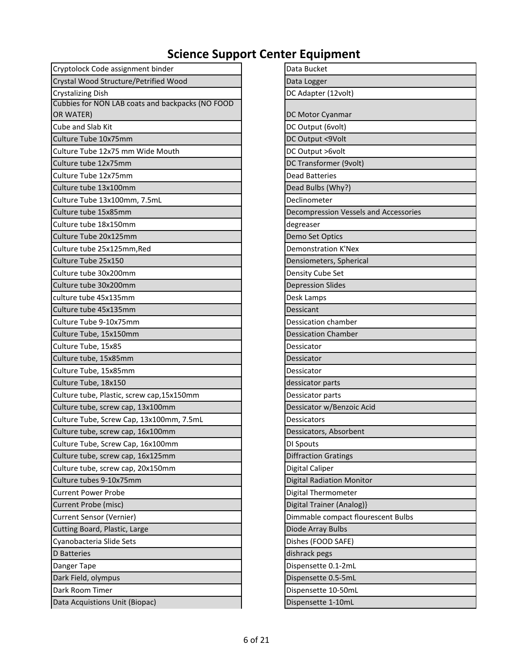| Cryptolock Code assignment binder                | Data Bucket                           |
|--------------------------------------------------|---------------------------------------|
| Crystal Wood Structure/Petrified Wood            | Data Logger                           |
| <b>Crystalizing Dish</b>                         | DC Adapter (12volt)                   |
| Cubbies for NON LAB coats and backpacks (NO FOOD |                                       |
| OR WATER)                                        | DC Motor Cyanmar                      |
| Cube and Slab Kit                                | DC Output (6volt)                     |
| Culture Tube 10x75mm                             | DC Output <9Volt                      |
| Culture Tube 12x75 mm Wide Mouth                 | DC Output >6volt                      |
| Culture tube 12x75mm                             | DC Transformer (9volt)                |
| Culture Tube 12x75mm                             | <b>Dead Batteries</b>                 |
| Culture tube 13x100mm                            | Dead Bulbs (Why?)                     |
| Culture Tube 13x100mm, 7.5mL                     | Declinometer                          |
| Culture tube 15x85mm                             | Decompression Vessels and Accessories |
| Culture tube 18x150mm                            | degreaser                             |
| Culture Tube 20x125mm                            | Demo Set Optics                       |
| Culture tube 25x125mm, Red                       | <b>Demonstration K'Nex</b>            |
| Culture Tube 25x150                              | Densiometers, Spherical               |
| Culture tube 30x200mm                            | Density Cube Set                      |
| Culture tube 30x200mm                            | <b>Depression Slides</b>              |
| culture tube 45x135mm                            | Desk Lamps                            |
| Culture tube 45x135mm                            | Dessicant                             |
| Culture Tube 9-10x75mm                           | Dessication chamber                   |
| Culture Tube, 15x150mm                           | <b>Dessication Chamber</b>            |
| Culture Tube, 15x85                              | Dessicator                            |
| Culture tube, 15x85mm                            | Dessicator                            |
| Culture Tube, 15x85mm                            | Dessicator                            |
| Culture Tube, 18x150                             | dessicator parts                      |
| Culture tube, Plastic, screw cap,15x150mm        | Dessicator parts                      |
| Culture tube, screw cap, 13x100mm                | Dessicator w/Benzoic Acid             |
| Culture Tube, Screw Cap, 13x100mm, 7.5mL         | <b>Dessicators</b>                    |
| Culture tube, screw cap, 16x100mm                | Dessicators, Absorbent                |
| Culture Tube, Screw Cap, 16x100mm                | DI Spouts                             |
| Culture tube, screw cap, 16x125mm                | <b>Diffraction Gratings</b>           |
| Culture tube, screw cap, 20x150mm                | Digital Caliper                       |
| Culture tubes 9-10x75mm                          | <b>Digital Radiation Monitor</b>      |
| <b>Current Power Probe</b>                       | <b>Digital Thermometer</b>            |
| Current Probe (misc)                             | Digital Trainer (Analog)}             |
| <b>Current Sensor (Vernier)</b>                  | Dimmable compact flourescent Bulbs    |
| Cutting Board, Plastic, Large                    | Diode Array Bulbs                     |
| Cyanobacteria Slide Sets                         | Dishes (FOOD SAFE)                    |
| D Batteries                                      | dishrack pegs                         |
| Danger Tape                                      | Dispensette 0.1-2mL                   |
| Dark Field, olympus                              | Dispensette 0.5-5mL                   |
| Dark Room Timer                                  | Dispensette 10-50mL                   |
| Data Acquistions Unit (Biopac)                   | Dispensette 1-10mL                    |

| Data Bucket                           |
|---------------------------------------|
| Data Logger                           |
| DC Adapter (12volt)                   |
|                                       |
| DC Motor Cyanmar                      |
| DC Output (6volt)                     |
| DC Output <9Volt                      |
| DC Output >6volt                      |
| DC Transformer (9volt)                |
| <b>Dead Batteries</b>                 |
| Dead Bulbs (Why?)                     |
| Declinometer                          |
| Decompression Vessels and Accessories |
| degreaser                             |
| Demo Set Optics                       |
| <b>Demonstration K'Nex</b>            |
| Densiometers, Spherical               |
| Density Cube Set                      |
| <b>Depression Slides</b>              |
| Desk Lamps                            |
| Dessicant                             |
| <b>Dessication chamber</b>            |
| <b>Dessication Chamber</b>            |
| Dessicator                            |
| Dessicator                            |
| Dessicator                            |
| dessicator parts                      |
| Dessicator parts                      |
| Dessicator w/Benzoic Acid             |
| Dessicators                           |
| Dessicators, Absorbent                |
| DI Spouts                             |
| <b>Diffraction Gratings</b>           |
| Digital Caliper                       |
| <b>Digital Radiation Monitor</b>      |
| Digital Thermometer                   |
| Digital Trainer (Analog)}             |
| Dimmable compact flourescent Bulbs    |
| Diode Array Bulbs                     |
| Dishes (FOOD SAFE)                    |
| dishrack pegs                         |
| Dispensette 0.1-2mL                   |
| Dispensette 0.5-5mL                   |
| Dispensette 10-50mL                   |
| Dispensette 1-10mL                    |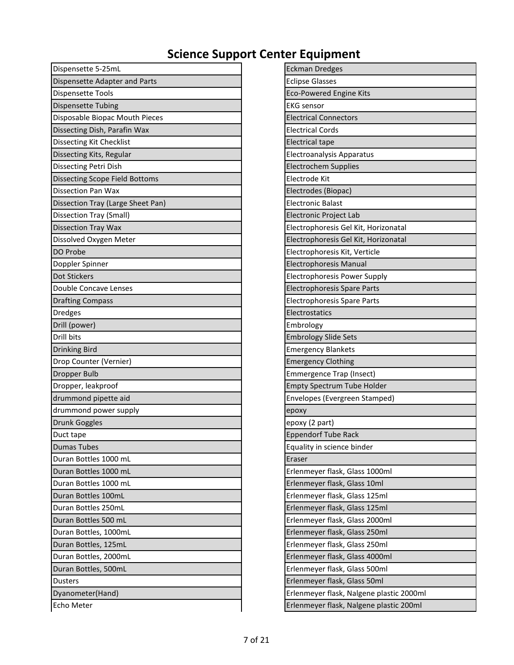| Dispensette 5-25mL                    | <b>Eckman Dredges</b>                    |
|---------------------------------------|------------------------------------------|
| Dispensette Adapter and Parts         | <b>Eclipse Glasses</b>                   |
| <b>Dispensette Tools</b>              | <b>Eco-Powered Engine Kits</b>           |
| <b>Dispensette Tubing</b>             | <b>EKG</b> sensor                        |
| Disposable Biopac Mouth Pieces        | <b>Electrical Connectors</b>             |
| Dissecting Dish, Parafin Wax          | <b>Electrical Cords</b>                  |
| <b>Dissecting Kit Checklist</b>       | <b>Electrical tape</b>                   |
| Dissecting Kits, Regular              | Electroanalysis Apparatus                |
| Dissecting Petri Dish                 | <b>Electrochem Supplies</b>              |
| <b>Dissecting Scope Field Bottoms</b> | Electrode Kit                            |
| <b>Dissection Pan Wax</b>             | Electrodes (Biopac)                      |
| Dissection Tray (Large Sheet Pan)     | <b>Electronic Balast</b>                 |
| Dissection Tray (Small)               | Electronic Project Lab                   |
| <b>Dissection Tray Wax</b>            | Electrophoresis Gel Kit, Horizonatal     |
| Dissolved Oxygen Meter                | Electrophoresis Gel Kit, Horizonatal     |
| DO Probe                              | Electrophoresis Kit, Verticle            |
| Doppler Spinner                       | <b>Electrophoresis Manual</b>            |
| Dot Stickers                          | <b>Electrophoresis Power Supply</b>      |
| Double Concave Lenses                 | <b>Electrophoresis Spare Parts</b>       |
| <b>Drafting Compass</b>               | Electrophoresis Spare Parts              |
| <b>Dredges</b>                        | Electrostatics                           |
| Drill (power)                         | Embrology                                |
| Drill bits                            | <b>Embrology Slide Sets</b>              |
| <b>Drinking Bird</b>                  | <b>Emergency Blankets</b>                |
| Drop Counter (Vernier)                | <b>Emergency Clothing</b>                |
| <b>Dropper Bulb</b>                   | Emmergence Trap (Insect)                 |
| Dropper, leakproof                    | <b>Empty Spectrum Tube Holder</b>        |
| drummond pipette aid                  | Envelopes (Evergreen Stamped)            |
| drummond power supply                 | ероху                                    |
| <b>Drunk Goggles</b>                  | epoxy (2 part)                           |
| Duct tape                             | <b>Eppendorf Tube Rack</b>               |
| <b>Dumas Tubes</b>                    | Equality in science binder               |
| Duran Bottles 1000 mL                 | Eraser                                   |
| Duran Bottles 1000 mL                 | Erlenmeyer flask, Glass 1000ml           |
| Duran Bottles 1000 mL                 | Erlenmeyer flask, Glass 10ml             |
| Duran Bottles 100mL                   | Erlenmeyer flask, Glass 125ml            |
| Duran Bottles 250mL                   | Erlenmeyer flask, Glass 125ml            |
| Duran Bottles 500 mL                  | Erlenmeyer flask, Glass 2000ml           |
| Duran Bottles, 1000mL                 | Erlenmeyer flask, Glass 250ml            |
| Duran Bottles, 125mL                  | Erlenmeyer flask, Glass 250ml            |
| Duran Bottles, 2000mL                 | Erlenmeyer flask, Glass 4000ml           |
| Duran Bottles, 500mL                  | Erlenmeyer flask, Glass 500ml            |
| <b>Dusters</b>                        | Erlenmeyer flask, Glass 50ml             |
| Dyanometer(Hand)                      | Erlenmeyer flask, Nalgene plastic 2000ml |
| Echo Meter                            | Erlenmeyer flask, Nalgene plastic 200ml  |

| <b>Eckman Dredges</b>                    |
|------------------------------------------|
| <b>Eclipse Glasses</b>                   |
| <b>Eco-Powered Engine Kits</b>           |
| <b>EKG</b> sensor                        |
| <b>Electrical Connectors</b>             |
| <b>Electrical Cords</b>                  |
| <b>Electrical tape</b>                   |
| Electroanalysis Apparatus                |
| <b>Electrochem Supplies</b>              |
| Electrode Kit                            |
| Electrodes (Biopac)                      |
| Electronic Balast                        |
| Electronic Project Lab                   |
| Electrophoresis Gel Kit, Horizonatal     |
| Electrophoresis Gel Kit, Horizonatal     |
| Electrophoresis Kit, Verticle            |
| <b>Electrophoresis Manual</b>            |
| <b>Electrophoresis Power Supply</b>      |
| <b>Electrophoresis Spare Parts</b>       |
| <b>Electrophoresis Spare Parts</b>       |
| Electrostatics                           |
| Embrology                                |
| <b>Embrology Slide Sets</b>              |
| <b>Emergency Blankets</b>                |
| <b>Emergency Clothing</b>                |
| Emmergence Trap (Insect)                 |
| <b>Empty Spectrum Tube Holder</b>        |
| Envelopes (Evergreen Stamped)            |
| ероху                                    |
| epoxy (2 part)                           |
| <b>Eppendorf Tube Rack</b>               |
| Equality in science binder               |
| Eraser                                   |
| Erlenmeyer flask, Glass 1000ml           |
| Erlenmeyer flask, Glass 10ml             |
| Erlenmeyer flask, Glass 125ml            |
| Erlenmeyer flask, Glass 125ml            |
| Erlenmeyer flask, Glass 2000ml           |
| Erlenmeyer flask, Glass 250ml            |
| Erlenmeyer flask, Glass 250ml            |
| Erlenmeyer flask, Glass 4000ml           |
| Erlenmeyer flask, Glass 500ml            |
| Erlenmeyer flask, Glass 50ml             |
| Erlenmeyer flask, Nalgene plastic 2000ml |
| Erlenmeyer flask, Nalgene plastic 200ml  |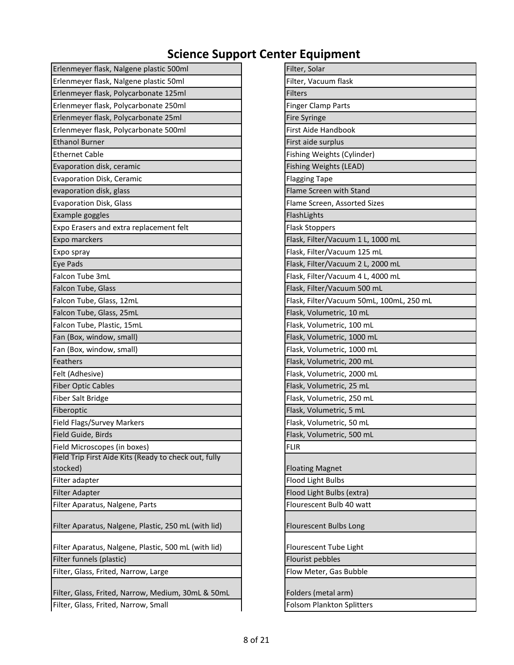| Erlenmeyer flask, Nalgene plastic 500ml               | Filter, Solar                            |
|-------------------------------------------------------|------------------------------------------|
| Erlenmeyer flask, Nalgene plastic 50ml                | Filter, Vacuum flask                     |
| Erlenmeyer flask, Polycarbonate 125ml                 | <b>Filters</b>                           |
| Erlenmeyer flask, Polycarbonate 250ml                 | <b>Finger Clamp Parts</b>                |
| Erlenmeyer flask, Polycarbonate 25ml                  | Fire Syringe                             |
| Erlenmeyer flask, Polycarbonate 500ml                 | First Aide Handbook                      |
| <b>Ethanol Burner</b>                                 | First aide surplus                       |
| <b>Ethernet Cable</b>                                 | Fishing Weights (Cylinder)               |
| Evaporation disk, ceramic                             | Fishing Weights (LEAD)                   |
| Evaporation Disk, Ceramic                             | <b>Flagging Tape</b>                     |
| evaporation disk, glass                               | Flame Screen with Stand                  |
| <b>Evaporation Disk, Glass</b>                        | Flame Screen, Assorted Sizes             |
| Example goggles                                       | FlashLights                              |
| Expo Erasers and extra replacement felt               | <b>Flask Stoppers</b>                    |
| Expo marckers                                         | Flask, Filter/Vacuum 1 L, 1000 mL        |
| Expo spray                                            | Flask, Filter/Vacuum 125 mL              |
| Eye Pads                                              | Flask, Filter/Vacuum 2 L, 2000 mL        |
| Falcon Tube 3mL                                       | Flask, Filter/Vacuum 4 L, 4000 mL        |
| Falcon Tube, Glass                                    | Flask, Filter/Vacuum 500 mL              |
| Falcon Tube, Glass, 12mL                              | Flask, Filter/Vacuum 50mL, 100mL, 250 mL |
| Falcon Tube, Glass, 25mL                              | Flask, Volumetric, 10 mL                 |
| Falcon Tube, Plastic, 15mL                            | Flask, Volumetric, 100 mL                |
| Fan (Box, window, small)                              | Flask, Volumetric, 1000 mL               |
| Fan (Box, window, small)                              | Flask, Volumetric, 1000 mL               |
| Feathers                                              | Flask, Volumetric, 200 mL                |
| Felt (Adhesive)                                       | Flask, Volumetric, 2000 mL               |
| <b>Fiber Optic Cables</b>                             | Flask, Volumetric, 25 mL                 |
| <b>Fiber Salt Bridge</b>                              | Flask, Volumetric, 250 mL                |
| Fiberoptic                                            | Flask, Volumetric, 5 mL                  |
| Field Flags/Survey Markers                            | Flask, Volumetric, 50 mL                 |
| Field Guide, Birds                                    | Flask, Volumetric, 500 mL                |
| Field Microscopes (in boxes)                          | <b>FLIR</b>                              |
| Field Trip First Aide Kits (Ready to check out, fully |                                          |
| stocked)                                              | <b>Floating Magnet</b>                   |
| Filter adapter                                        | Flood Light Bulbs                        |
| <b>Filter Adapter</b>                                 | Flood Light Bulbs (extra)                |
| Filter Aparatus, Nalgene, Parts                       | Flourescent Bulb 40 watt                 |
| Filter Aparatus, Nalgene, Plastic, 250 mL (with lid)  | Flourescent Bulbs Long                   |
| Filter Aparatus, Nalgene, Plastic, 500 mL (with lid)  | Flourescent Tube Light                   |
| Filter funnels (plastic)                              | Flourist pebbles                         |
| Filter, Glass, Frited, Narrow, Large                  | Flow Meter, Gas Bubble                   |
| Filter, Glass, Frited, Narrow, Medium, 30mL & 50mL    | Folders (metal arm)                      |
| Filter, Glass, Frited, Narrow, Small                  | <b>Folsom Plankton Splitters</b>         |

| Filter, Solar                            |
|------------------------------------------|
| Filter, Vacuum flask                     |
| <b>Filters</b>                           |
| <b>Finger Clamp Parts</b>                |
| <b>Fire Syringe</b>                      |
| First Aide Handbook                      |
| First aide surplus                       |
| Fishing Weights (Cylinder)               |
| Fishing Weights (LEAD)                   |
| <b>Flagging Tape</b>                     |
| Flame Screen with Stand                  |
| Flame Screen, Assorted Sizes             |
| FlashLights                              |
| <b>Flask Stoppers</b>                    |
| Flask, Filter/Vacuum 1 L, 1000 mL        |
| Flask, Filter/Vacuum 125 mL              |
| Flask, Filter/Vacuum 2 L, 2000 mL        |
| Flask, Filter/Vacuum 4 L, 4000 mL        |
| Flask, Filter/Vacuum 500 mL              |
| Flask, Filter/Vacuum 50mL, 100mL, 250 mL |
| Flask, Volumetric, 10 mL                 |
| Flask, Volumetric, 100 mL                |
| Flask, Volumetric, 1000 mL               |
| Flask, Volumetric, 1000 mL               |
| Flask, Volumetric, 200 mL                |
| Flask, Volumetric, 2000 mL               |
| Flask, Volumetric, 25 mL                 |
| Flask, Volumetric, 250 mL                |
| Flask, Volumetric, 5 mL                  |
| Flask, Volumetric, 50 mL                 |
| Flask, Volumetric, 500 mL                |
| FLIR                                     |
| <b>Floating Magnet</b>                   |
| Flood Light Bulbs                        |
| Flood Light Bulbs (extra)                |
| Flourescent Bulb 40 watt                 |
| Flourescent Bulbs Long                   |
| Flourescent Tube Light                   |
| Flourist pebbles                         |
| Flow Meter, Gas Bubble                   |
| Folders (metal arm)                      |
| <b>Folsom Plankton Splitters</b>         |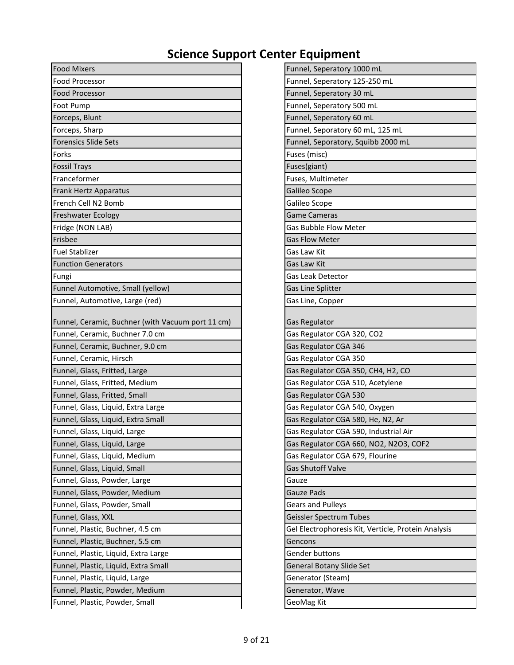| <b>Food Mixers</b>                                                                   | Funnel, Seperatory 1000 mL                          |
|--------------------------------------------------------------------------------------|-----------------------------------------------------|
| Food Processor                                                                       | Funnel, Seperatory 125-250 mL                       |
| <b>Food Processor</b>                                                                | Funnel, Seperatory 30 mL                            |
| Foot Pump                                                                            | Funnel, Seperatory 500 mL                           |
| Forceps, Blunt                                                                       | Funnel, Seperatory 60 mL                            |
| Forceps, Sharp                                                                       | Funnel, Seporatory 60 mL, 125 mL                    |
| <b>Forensics Slide Sets</b>                                                          | Funnel, Seporatory, Squibb 2000 mL                  |
| Forks                                                                                | Fuses (misc)                                        |
| <b>Fossil Trays</b>                                                                  | Fuses(giant)                                        |
| Franceformer                                                                         | Fuses, Multimeter                                   |
| Frank Hertz Apparatus                                                                | Galileo Scope                                       |
| French Cell N2 Bomb                                                                  | Galileo Scope                                       |
| <b>Freshwater Ecology</b>                                                            | <b>Game Cameras</b>                                 |
| Fridge (NON LAB)                                                                     | <b>Gas Bubble Flow Meter</b>                        |
| Frisbee                                                                              | <b>Gas Flow Meter</b>                               |
| <b>Fuel Stablizer</b>                                                                | Gas Law Kit                                         |
| <b>Function Generators</b>                                                           | Gas Law Kit                                         |
| Fungi                                                                                | Gas Leak Detector                                   |
| Funnel Automotive, Small (yellow)                                                    | Gas Line Splitter                                   |
| Funnel, Automotive, Large (red)                                                      | Gas Line, Copper                                    |
| Funnel, Ceramic, Buchner (with Vacuum port 11 cm)<br>Funnel, Ceramic, Buchner 7.0 cm | <b>Gas Regulator</b><br>Gas Regulator CGA 320, CO2  |
| Funnel, Ceramic, Buchner, 9.0 cm                                                     | Gas Regulator CGA 346                               |
| Funnel, Ceramic, Hirsch                                                              | Gas Regulator CGA 350                               |
| Funnel, Glass, Fritted, Large                                                        | Gas Regulator CGA 350, CH4, H2, CO                  |
| Funnel, Glass, Fritted, Medium                                                       | Gas Regulator CGA 510, Acetylene                    |
| Funnel, Glass, Fritted, Small                                                        | Gas Regulator CGA 530                               |
| Funnel, Glass, Liquid, Extra Large                                                   | Gas Regulator CGA 540, Oxygen                       |
| Funnel, Glass, Liquid, Extra Small                                                   | Gas Regulator CGA 580, He, N2, Ar                   |
| Funnel, Glass, Liquid, Large                                                         | Gas Regulator CGA 590, Industrial Air               |
| Funnel, Glass, Liquid, Large                                                         | Gas Regulator CGA 660, NO2, N2O3, COF2              |
| Funnel, Glass, Liquid, Medium                                                        | Gas Regulator CGA 679, Flourine                     |
| Funnel, Glass, Liquid, Small                                                         | <b>Gas Shutoff Valve</b>                            |
| Funnel, Glass, Powder, Large                                                         | Gauze                                               |
| Funnel, Glass, Powder, Medium                                                        | Gauze Pads                                          |
| Funnel, Glass, Powder, Small                                                         | <b>Gears and Pulleys</b>                            |
| Funnel, Glass, XXL                                                                   | Geissler Spectrum Tubes                             |
| Funnel, Plastic, Buchner, 4.5 cm                                                     | Gel Electrophoresis Kit, Verticle, Protein Analysis |
| Funnel, Plastic, Buchner, 5.5 cm                                                     | Gencons                                             |
| Funnel, Plastic, Liquid, Extra Large                                                 | Gender buttons                                      |
| Funnel, Plastic, Liquid, Extra Small                                                 | <b>General Botany Slide Set</b>                     |
| Funnel, Plastic, Liquid, Large                                                       | Generator (Steam)                                   |
|                                                                                      |                                                     |
| Funnel, Plastic, Powder, Medium                                                      | Generator, Wave                                     |

| Funnel, Seperatory 1000 mL                          |
|-----------------------------------------------------|
| Funnel, Seperatory 125-250 mL                       |
| Funnel, Seperatory 30 mL                            |
| Funnel, Seperatory 500 mL                           |
| Funnel, Seperatory 60 mL                            |
| Funnel, Seporatory 60 mL, 125 mL                    |
| Funnel, Seporatory, Squibb 2000 mL                  |
| Fuses (misc)                                        |
| Fuses(giant)                                        |
| Fuses, Multimeter                                   |
| Galileo Scope                                       |
| Galileo Scope                                       |
| <b>Game Cameras</b>                                 |
| <b>Gas Bubble Flow Meter</b>                        |
| <b>Gas Flow Meter</b>                               |
| Gas Law Kit                                         |
| Gas Law Kit                                         |
| <b>Gas Leak Detector</b>                            |
| <b>Gas Line Splitter</b>                            |
| Gas Line, Copper                                    |
|                                                     |
| <b>Gas Regulator</b>                                |
| Gas Regulator CGA 320, CO2                          |
| Gas Regulator CGA 346                               |
| Gas Regulator CGA 350                               |
| Gas Regulator CGA 350, CH4, H2, CO                  |
| Gas Regulator CGA 510, Acetylene                    |
| Gas Regulator CGA 530                               |
| Gas Regulator CGA 540, Oxygen                       |
| Gas Regulator CGA 580, He, N2, Ar                   |
| Gas Regulator CGA 590, Industrial Air               |
| Gas Regulator CGA 660, NO2, N2O3, COF2              |
| Gas Regulator CGA 679, Flourine                     |
| <b>Gas Shutoff Valve</b>                            |
| Gauze                                               |
| <b>Gauze Pads</b>                                   |
| <b>Gears and Pulleys</b>                            |
| Geissler Spectrum Tubes                             |
| Gel Electrophoresis Kit, Verticle, Protein Analysis |
| Gencons                                             |
| <b>Gender buttons</b>                               |
| <b>General Botany Slide Set</b>                     |
| Generator (Steam)                                   |
| Generator, Wave                                     |
| <b>GeoMag Kit</b>                                   |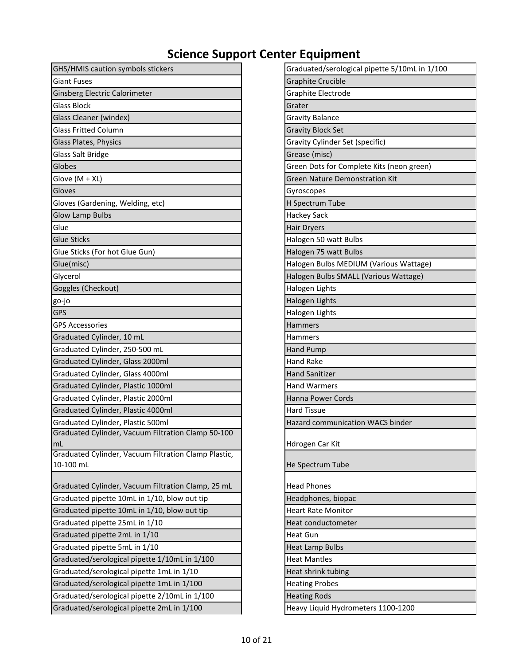| GHS/HMIS caution symbols stickers                                 | Graduated/serological pipette 5/10mL in 1/100 |
|-------------------------------------------------------------------|-----------------------------------------------|
| <b>Giant Fuses</b>                                                | <b>Graphite Crucible</b>                      |
| Ginsberg Electric Calorimeter                                     | Graphite Electrode                            |
| <b>Glass Block</b>                                                | Grater                                        |
| Glass Cleaner (windex)                                            | <b>Gravity Balance</b>                        |
| <b>Glass Fritted Column</b>                                       | <b>Gravity Block Set</b>                      |
| Glass Plates, Physics                                             | Gravity Cylinder Set (specific)               |
| <b>Glass Salt Bridge</b>                                          | Grease (misc)                                 |
| Globes                                                            | Green Dots for Complete Kits (neon green)     |
| Glove $(M + XL)$                                                  | <b>Green Nature Demonstration Kit</b>         |
| Gloves                                                            | Gyroscopes                                    |
| Gloves (Gardening, Welding, etc)                                  | H Spectrum Tube                               |
| <b>Glow Lamp Bulbs</b>                                            | <b>Hackey Sack</b>                            |
| Glue                                                              | <b>Hair Dryers</b>                            |
| <b>Glue Sticks</b>                                                | Halogen 50 watt Bulbs                         |
| Glue Sticks (For hot Glue Gun)                                    | Halogen 75 watt Bulbs                         |
| Glue(misc)                                                        | Halogen Bulbs MEDIUM (Various Wattage)        |
| Glycerol                                                          | Halogen Bulbs SMALL (Various Wattage)         |
| Goggles (Checkout)                                                | Halogen Lights                                |
| go-jo                                                             | Halogen Lights                                |
| <b>GPS</b>                                                        | Halogen Lights                                |
| <b>GPS Accessories</b>                                            | Hammers                                       |
| Graduated Cylinder, 10 mL                                         | Hammers                                       |
| Graduated Cylinder, 250-500 mL                                    | <b>Hand Pump</b>                              |
| Graduated Cylinder, Glass 2000ml                                  | <b>Hand Rake</b>                              |
| Graduated Cylinder, Glass 4000ml                                  | <b>Hand Sanitizer</b>                         |
| Graduated Cylinder, Plastic 1000ml                                | <b>Hand Warmers</b>                           |
| Graduated Cylinder, Plastic 2000ml                                | Hanna Power Cords                             |
| Graduated Cylinder, Plastic 4000ml                                | <b>Hard Tissue</b>                            |
| Graduated Cylinder, Plastic 500ml                                 | <b>Hazard communication WACS binder</b>       |
| Graduated Cylinder, Vacuum Filtration Clamp 50-100                |                                               |
| mL                                                                | Hdrogen Car Kit                               |
| Graduated Cylinder, Vacuum Filtration Clamp Plastic,<br>10-100 mL | He Spectrum Tube                              |
|                                                                   |                                               |
| Graduated Cylinder, Vacuum Filtration Clamp, 25 mL                | <b>Head Phones</b>                            |
| Graduated pipette 10mL in 1/10, blow out tip                      | Headphones, biopac                            |
| Graduated pipette 10mL in 1/10, blow out tip                      | <b>Heart Rate Monitor</b>                     |
| Graduated pipette 25mL in 1/10                                    | Heat conductometer                            |
| Graduated pipette 2mL in 1/10                                     | <b>Heat Gun</b>                               |
| Graduated pipette 5mL in 1/10                                     | <b>Heat Lamp Bulbs</b>                        |
| Graduated/serological pipette 1/10mL in 1/100                     | <b>Heat Mantles</b>                           |
| Graduated/serological pipette 1mL in 1/10                         | Heat shrink tubing                            |
| Graduated/serological pipette 1mL in 1/100                        | <b>Heating Probes</b>                         |
| Graduated/serological pipette 2/10mL in 1/100                     | <b>Heating Rods</b>                           |
| Graduated/serological pipette 2mL in 1/100                        | Heavy Liquid Hydrometers 1100-1200            |

| Graduated/serological pipette 5/10mL in 1/100 |
|-----------------------------------------------|
| <b>Graphite Crucible</b>                      |
| Graphite Electrode                            |
| Grater                                        |
| Gravity Balance                               |
| <b>Gravity Block Set</b>                      |
| Gravity Cylinder Set (specific)               |
| Grease (misc)                                 |
| Green Dots for Complete Kits (neon green)     |
| <b>Green Nature Demonstration Kit</b>         |
| Gyroscopes                                    |
| H Spectrum Tube                               |
| <b>Hackey Sack</b>                            |
| Hair Dryers                                   |
| Halogen 50 watt Bulbs                         |
| Halogen 75 watt Bulbs                         |
| Halogen Bulbs MEDIUM (Various Wattage)        |
| Halogen Bulbs SMALL (Various Wattage)         |
| Halogen Lights                                |
| Halogen Lights                                |
| Halogen Lights                                |
| <b>Hammers</b>                                |
| Hammers                                       |
| <b>Hand Pump</b>                              |
| <b>Hand Rake</b>                              |
| <b>Hand Sanitizer</b>                         |
| <b>Hand Warmers</b>                           |
| <b>Hanna Power Cords</b>                      |
| <b>Hard Tissue</b>                            |
| Hazard communication WACS binder              |
|                                               |
| Hdrogen Car Kit                               |
| He Spectrum Tube                              |
|                                               |
| <b>Head Phones</b>                            |
| Headphones, biopac                            |
| <b>Heart Rate Monitor</b>                     |
| Heat conductometer                            |
| Heat Gun                                      |
| Heat Lamp Bulbs                               |
| Heat Mantles                                  |
| Heat shrink tubing                            |
| <b>Heating Probes</b>                         |
| <b>Heating Rods</b>                           |
| Heavy Liquid Hydrometers 1100-1200            |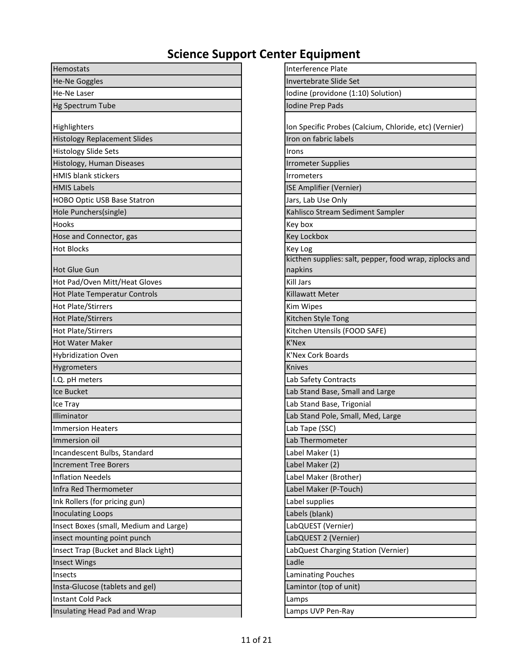| Hemostats                              | Interference Plate                                     |
|----------------------------------------|--------------------------------------------------------|
| He-Ne Goggles                          | Invertebrate Slide Set                                 |
| He-Ne Laser                            | Iodine (providone (1:10) Solution)                     |
| <b>Hg Spectrum Tube</b>                | Iodine Prep Pads                                       |
| Highlighters                           | Ion Specific Probes (Calcium, Chloride, etc) (Vernier) |
| <b>Histology Replacement Slides</b>    | Iron on fabric labels                                  |
| <b>Histology Slide Sets</b>            | Irons                                                  |
| Histology, Human Diseases              | <b>Irrometer Supplies</b>                              |
| <b>HMIS blank stickers</b>             | <b>Irrometers</b>                                      |
| <b>HMIS Labels</b>                     | ISE Amplifier (Vernier)                                |
| HOBO Optic USB Base Statron            | Jars, Lab Use Only                                     |
| Hole Punchers(single)                  | Kahlisco Stream Sediment Sampler                       |
| Hooks                                  | Key box                                                |
| Hose and Connector, gas                | Key Lockbox                                            |
| <b>Hot Blocks</b>                      | Key Log                                                |
|                                        | kicthen supplies: salt, pepper, food wrap, ziplocks ar |
| <b>Hot Glue Gun</b>                    | napkins                                                |
| Hot Pad/Oven Mitt/Heat Gloves          | <b>Kill Jars</b>                                       |
| Hot Plate Temperatur Controls          | <b>Killawatt Meter</b>                                 |
| Hot Plate/Stirrers                     | Kim Wipes                                              |
| <b>Hot Plate/Stirrers</b>              | Kitchen Style Tong                                     |
| <b>Hot Plate/Stirrers</b>              | Kitchen Utensils (FOOD SAFE)                           |
| <b>Hot Water Maker</b>                 | <b>K'Nex</b>                                           |
| <b>Hybridization Oven</b>              | <b>K'Nex Cork Boards</b>                               |
| Hygrometers                            | Knives                                                 |
| I.Q. pH meters                         | Lab Safety Contracts                                   |
| Ice Bucket                             | Lab Stand Base, Small and Large                        |
| Ice Tray                               | Lab Stand Base, Trigonial                              |
| Illiminator                            | Lab Stand Pole, Small, Med, Large                      |
| <b>Immersion Heaters</b>               | Lab Tape (SSC)                                         |
| Immersion oil                          | Lab Thermometer                                        |
| Incandescent Bulbs, Standard           | Label Maker (1)                                        |
| <b>Increment Tree Borers</b>           | Label Maker (2)                                        |
| <b>Inflation Needels</b>               | Label Maker (Brother)                                  |
| Infra Red Thermometer                  | Label Maker (P-Touch)                                  |
| Ink Rollers (for pricing gun)          | Label supplies                                         |
| <b>Inoculating Loops</b>               | Labels (blank)                                         |
| Insect Boxes (small, Medium and Large) | LabQUEST (Vernier)                                     |
| insect mounting point punch            | LabQUEST 2 (Vernier)                                   |
| Insect Trap (Bucket and Black Light)   | LabQuest Charging Station (Vernier)                    |
| <b>Insect Wings</b>                    | Ladle                                                  |
| Insects                                | <b>Laminating Pouches</b>                              |
| Insta-Glucose (tablets and gel)        | Lamintor (top of unit)                                 |
| <b>Instant Cold Pack</b>               | Lamps                                                  |
| Insulating Head Pad and Wrap           | Lamps UVP Pen-Ray                                      |

| Interference Plate                                      |
|---------------------------------------------------------|
| <b>Invertebrate Slide Set</b>                           |
| Iodine (providone (1:10) Solution)                      |
| Iodine Prep Pads                                        |
|                                                         |
| Ion Specific Probes (Calcium, Chloride, etc) (Vernier)  |
| Iron on fabric labels                                   |
| Irons                                                   |
| <b>Irrometer Supplies</b>                               |
| <b>Irrometers</b>                                       |
| ISE Amplifier (Vernier)                                 |
| Jars, Lab Use Only                                      |
| Kahlisco Stream Sediment Sampler                        |
| Key box                                                 |
| Key Lockbox                                             |
| Key Log                                                 |
| kicthen supplies: salt, pepper, food wrap, ziplocks and |
| napkins                                                 |
| Kill Jars                                               |
| <b>Killawatt Meter</b>                                  |
| Kim Wipes                                               |
| Kitchen Style Tong                                      |
| Kitchen Utensils (FOOD SAFE)                            |
| K'Nex                                                   |
| <b>K'Nex Cork Boards</b>                                |
| <b>Knives</b>                                           |
| Lab Safety Contracts                                    |
| Lab Stand Base, Small and Large                         |
| Lab Stand Base, Trigonial                               |
| Lab Stand Pole, Small, Med, Large                       |
| Lab Tape (SSC)                                          |
| Lab Thermometer                                         |
| Label Maker (1)                                         |
| Label Maker (2)                                         |
| Label Maker (Brother)                                   |
| Label Maker (P-Touch)                                   |
| Label supplies                                          |
| Labels (blank)                                          |
| LabQUEST (Vernier)                                      |
| LabQUEST 2 (Vernier)                                    |
| LabQuest Charging Station (Vernier)                     |
| Ladle                                                   |
| <b>Laminating Pouches</b>                               |
| Lamintor (top of unit)                                  |
| Lamps                                                   |
| Lamps UVP Pen-Ray                                       |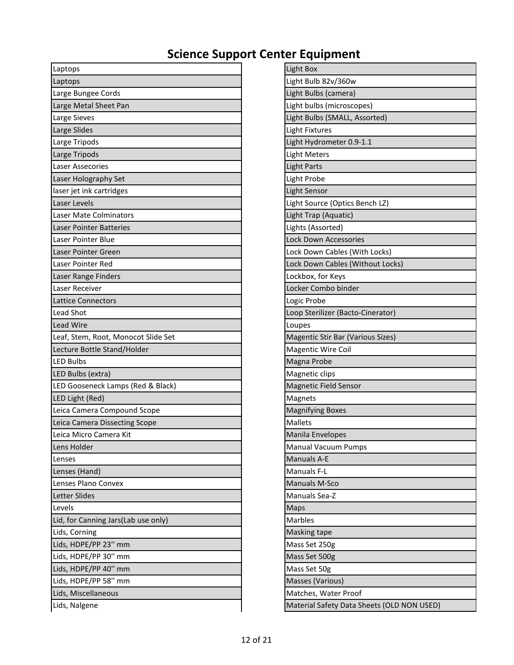| Laptops                             | Light Box                                  |
|-------------------------------------|--------------------------------------------|
| Laptops                             | Light Bulb 82v/360w                        |
| Large Bungee Cords                  | Light Bulbs (camera)                       |
| Large Metal Sheet Pan               | Light bulbs (microscopes)                  |
| Large Sieves                        | Light Bulbs (SMALL, Assorted)              |
| Large Slides                        | <b>Light Fixtures</b>                      |
| Large Tripods                       | Light Hydrometer 0.9-1.1                   |
| Large Tripods                       | <b>Light Meters</b>                        |
| <b>Laser Assecories</b>             | <b>Light Parts</b>                         |
| Laser Holography Set                | Light Probe                                |
| laser jet ink cartridges            | <b>Light Sensor</b>                        |
| Laser Levels                        | Light Source (Optics Bench LZ)             |
| Laser Mate Colminators              | Light Trap (Aquatic)                       |
| <b>Laser Pointer Batteries</b>      | Lights (Assorted)                          |
| Laser Pointer Blue                  | <b>Lock Down Accessories</b>               |
| Laser Pointer Green                 | Lock Down Cables (With Locks)              |
| Laser Pointer Red                   | Lock Down Cables (Without Locks)           |
| Laser Range Finders                 | Lockbox, for Keys                          |
| Laser Receiver                      | Locker Combo binder                        |
| <b>Lattice Connectors</b>           | Logic Probe                                |
| Lead Shot                           | Loop Sterilizer (Bacto-Cinerator)          |
| Lead Wire                           | Loupes                                     |
| Leaf, Stem, Root, Monocot Slide Set | Magentic Stir Bar (Various Sizes)          |
| Lecture Bottle Stand/Holder         | <b>Magentic Wire Coil</b>                  |
| <b>LED Bulbs</b>                    | Magna Probe                                |
| LED Bulbs (extra)                   | Magnetic clips                             |
| LED Gooseneck Lamps (Red & Black)   | <b>Magnetic Field Sensor</b>               |
| LED Light (Red)                     | Magnets                                    |
| Leica Camera Compound Scope         | <b>Magnifying Boxes</b>                    |
| Leica Camera Dissecting Scope       | <b>Mallets</b>                             |
| Leica Micro Camera Kit              | Manila Envelopes                           |
| Lens Holder                         | <b>Manual Vacuum Pumps</b>                 |
| Lenses                              | <b>Manuals A-E</b>                         |
| Lenses (Hand)                       | Manuals F-L                                |
| Lenses Plano Convex                 | Manuals M-Sco                              |
| <b>Letter Slides</b>                | Manuals Sea-Z                              |
| Levels                              | Maps                                       |
| Lid, for Canning Jars(Lab use only) | <b>Marbles</b>                             |
| Lids, Corning                       | Masking tape                               |
| Lids, HDPE/PP 23" mm                | Mass Set 250g                              |
| Lids, HDPE/PP 30" mm                | Mass Set 500g                              |
| Lids, HDPE/PP 40" mm                | Mass Set 50g                               |
| Lids, HDPE/PP 58" mm                | Masses (Various)                           |
| Lids, Miscellaneous                 | Matches, Water Proof                       |
| Lids, Nalgene                       | Material Safety Data Sheets (OLD NON USED) |

| Light Box                                   |
|---------------------------------------------|
| Light Bulb 82v/360w                         |
| Light Bulbs (camera)                        |
| Light bulbs (microscopes)                   |
| Light Bulbs (SMALL, Assorted)               |
| Light Fixtures                              |
| Light Hydrometer 0.9-1.1                    |
| Light Meters                                |
| <b>Light Parts</b>                          |
| Light Probe                                 |
| Light Sensor                                |
| Light Source (Optics Bench LZ)              |
| Light Trap (Aquatic)                        |
| Lights (Assorted)                           |
| Lock Down Accessories                       |
| Lock Down Cables (With Locks)               |
| Lock Down Cables (Without Locks)            |
| Lockbox, for Keys                           |
| Locker Combo binder                         |
| Logic Probe                                 |
| Loop Sterilizer (Bacto-Cinerator)           |
| Loupes                                      |
| Magentic Stir Bar (Various Sizes)           |
| <b>Magentic Wire Coil</b>                   |
| Magna Probe                                 |
| Magnetic clips                              |
| <b>Magnetic Field Sensor</b>                |
| Magnets                                     |
| <b>Magnifying Boxes</b>                     |
| <b>Mallets</b>                              |
| Manila Envelopes                            |
| <b>Manual Vacuum Pumps</b>                  |
| <b>Manuals A-E</b>                          |
| Manuals F-L                                 |
| <b>Manuals M-Sco</b>                        |
| Manuals Sea-Z                               |
| Maps                                        |
| Marbles                                     |
| Masking tape                                |
| Mass Set 250g                               |
| Mass Set 500g                               |
| Mass Set 50g                                |
| Masses (Various)                            |
| Matches, Water Proof                        |
| Material Safety Data Sheets (OLD NON LISED) |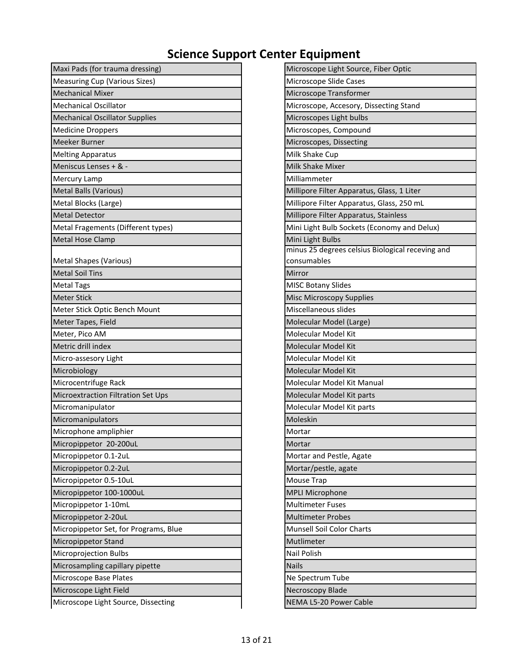| Maxi Pads (for trauma dressing)       | Microscope Light Source, Fiber Optic           |
|---------------------------------------|------------------------------------------------|
| <b>Measuring Cup (Various Sizes)</b>  | Microscope Slide Cases                         |
| <b>Mechanical Mixer</b>               | Microscope Transformer                         |
| <b>Mechanical Oscillator</b>          | Microscope, Accesory, Dissecting Stand         |
| <b>Mechanical Oscillator Supplies</b> | Microscopes Light bulbs                        |
| <b>Medicine Droppers</b>              | Microscopes, Compound                          |
| Meeker Burner                         | Microscopes, Dissecting                        |
| <b>Melting Apparatus</b>              | Milk Shake Cup                                 |
| Meniscus Lenses + & -                 | Milk Shake Mixer                               |
| Mercury Lamp                          | Milliammeter                                   |
| <b>Metal Balls (Various)</b>          | Millipore Filter Apparatus, Glass, 1 Liter     |
| Metal Blocks (Large)                  | Millipore Filter Apparatus, Glass, 250 mL      |
| <b>Metal Detector</b>                 | Millipore Filter Apparatus, Stainless          |
| Metal Fragements (Different types)    | Mini Light Bulb Sockets (Economy and Delux)    |
| Metal Hose Clamp                      | Mini Light Bulbs                               |
|                                       | minus 25 degrees celsius Biological receving a |
| <b>Metal Shapes (Various)</b>         | consumables                                    |
| <b>Metal Soil Tins</b>                | Mirror                                         |
| <b>Metal Tags</b>                     | <b>MISC Botany Slides</b>                      |
| <b>Meter Stick</b>                    | <b>Misc Microscopy Supplies</b>                |
| Meter Stick Optic Bench Mount         | Miscellaneous slides                           |
| Meter Tapes, Field                    | Molecular Model (Large)                        |
| Meter, Pico AM                        | Molecular Model Kit                            |
| Metric drill index                    | Molecular Model Kit                            |
| Micro-assesory Light                  | Molecular Model Kit                            |
| Microbiology                          | Molecular Model Kit                            |
| Microcentrifuge Rack                  | Molecular Model Kit Manual                     |
| Microextraction Filtration Set Ups    | Molecular Model Kit parts                      |
| Micromanipulator                      | Molecular Model Kit parts                      |
| Micromanipulators                     | Moleskin                                       |
| Microphone ampliphier                 | Mortar                                         |
| Micropippetor 20-200uL                | Mortar                                         |
| Micropippetor 0.1-2uL                 | Mortar and Pestle, Agate                       |
| Micropippetor 0.2-2uL                 | Mortar/pestle, agate                           |
| Micropippetor 0.5-10uL                | Mouse Trap                                     |
| Micropippetor 100-1000uL              | <b>MPLI Microphone</b>                         |
| Micropippetor 1-10mL                  | <b>Multimeter Fuses</b>                        |
| Micropippetor 2-20uL                  | <b>Multimeter Probes</b>                       |
| Micropippetor Set, for Programs, Blue | Munsell Soil Color Charts                      |
| Micropippetor Stand                   | Mutlimeter                                     |
| Microprojection Bulbs                 | Nail Polish                                    |
| Microsampling capillary pipette       | <b>Nails</b>                                   |
| Microscope Base Plates                | Ne Spectrum Tube                               |
| Microscope Light Field                | Necroscopy Blade                               |
| Microscope Light Source, Dissecting   | NEMA L5-20 Power Cable                         |

| Microscope Light Source, Fiber Optic             |
|--------------------------------------------------|
| Microscope Slide Cases                           |
| Microscope Transformer                           |
| Microscope, Accesory, Dissecting Stand           |
| Microscopes Light bulbs                          |
| Microscopes, Compound                            |
| Microscopes, Dissecting                          |
| Milk Shake Cup                                   |
| <b>Milk Shake Mixer</b>                          |
| Milliammeter                                     |
| Millipore Filter Apparatus, Glass, 1 Liter       |
| Millipore Filter Apparatus, Glass, 250 mL        |
| Millipore Filter Apparatus, Stainless            |
| Mini Light Bulb Sockets (Economy and Delux)      |
| Mini Light Bulbs                                 |
| minus 25 degrees celsius Biological receving and |
| consumables                                      |
| Mirror                                           |
| <b>MISC Botany Slides</b>                        |
| Misc Microscopy Supplies                         |
| Miscellaneous slides                             |
| Molecular Model (Large)                          |
| Molecular Model Kit                              |
| Molecular Model Kit                              |
| Molecular Model Kit                              |
| Molecular Model Kit                              |
| Molecular Model Kit Manual                       |
| Molecular Model Kit parts                        |
| Molecular Model Kit parts                        |
| Moleskin                                         |
| Mortar                                           |
| Mortar                                           |
| Mortar and Pestle, Agate                         |
| Mortar/pestle, agate                             |
| Mouse Trap                                       |
| <b>MPLI Microphone</b>                           |
| <b>Multimeter Fuses</b>                          |
| <b>Multimeter Probes</b>                         |
| <b>Munsell Soil Color Charts</b>                 |
| Mutlimeter                                       |
| Nail Polish                                      |
| <b>Nails</b>                                     |
| Ne Spectrum Tube                                 |
| Necroscopy Blade                                 |
| NEMA 15-20 Power Cable                           |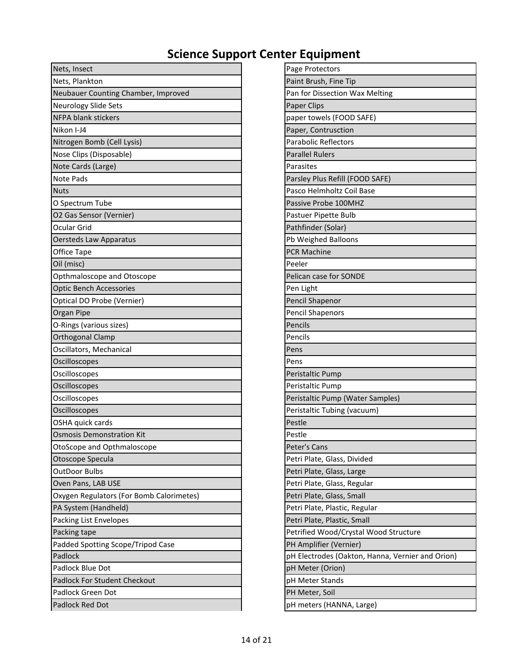| Nets, Insect                             | Page Protectors                                  |
|------------------------------------------|--------------------------------------------------|
| Nets, Plankton                           | Paint Brush, Fine Tip                            |
| Neubauer Counting Chamber, Improved      | Pan for Dissection Wax Melting                   |
| <b>Neurology Slide Sets</b>              | Paper Clips                                      |
| <b>NFPA blank stickers</b>               | paper towels (FOOD SAFE)                         |
| Nikon I-J4                               | Paper, Contrusction                              |
| Nitrogen Bomb (Cell Lysis)               | <b>Parabolic Reflectors</b>                      |
| Nose Clips (Disposable)                  | <b>Parallel Rulers</b>                           |
| Note Cards (Large)                       | Parasites                                        |
| <b>Note Pads</b>                         | Parsley Plus Refill (FOOD SAFE)                  |
| <b>Nuts</b>                              | Pasco Helmholtz Coil Base                        |
| O Spectrum Tube                          | Passive Probe 100MHZ                             |
| O2 Gas Sensor (Vernier)                  | Pastuer Pipette Bulb                             |
| Ocular Grid                              | Pathfinder (Solar)                               |
| <b>Oersteds Law Apparatus</b>            | Pb Weighed Balloons                              |
| Office Tape                              | <b>PCR Machine</b>                               |
| Oil (misc)                               | Peeler                                           |
| Opthmaloscope and Otoscope               | Pelican case for SONDE                           |
| <b>Optic Bench Accessories</b>           | Pen Light                                        |
| Optical DO Probe (Vernier)               | Pencil Shapenor                                  |
| Organ Pipe                               | <b>Pencil Shapenors</b>                          |
| O-Rings (various sizes)                  | Pencils                                          |
| Orthogonal Clamp                         | Pencils                                          |
| Oscillators, Mechanical                  | Pens                                             |
| Oscilloscopes                            | Pens                                             |
| Oscilloscopes                            | Peristaltic Pump                                 |
| Oscilloscopes                            | Peristaltic Pump                                 |
| Oscilloscopes                            | Peristaltic Pump (Water Samples)                 |
| Oscilloscopes                            | Peristaltic Tubing (vacuum)                      |
| OSHA quick cards                         | Pestle                                           |
| <b>Osmosis Demonstration Kit</b>         | Pestle                                           |
| OtoScope and Opthmaloscope               | Peter's Cans                                     |
| Otoscope Specula                         | Petri Plate, Glass, Divided                      |
| <b>OutDoor Bulbs</b>                     | Petri Plate, Glass, Large                        |
| Oven Pans, LAB USE                       | Petri Plate, Glass, Regular                      |
| Oxygen Regulators (For Bomb Calorimetes) | Petri Plate, Glass, Small                        |
| PA System (Handheld)                     | Petri Plate, Plastic, Regular                    |
| Packing List Envelopes                   | Petri Plate, Plastic, Small                      |
| Packing tape                             | Petrified Wood/Crystal Wood Structure            |
| Padded Spotting Scope/Tripod Case        | PH Amplifier (Vernier)                           |
| Padlock                                  | pH Electrodes (Oakton, Hanna, Vernier and Orion) |
| Padlock Blue Dot                         | pH Meter (Orion)                                 |
| Padlock For Student Checkout             | pH Meter Stands                                  |
| Padlock Green Dot                        | PH Meter, Soil                                   |
| Padlock Red Dot                          | pH meters (HANNA, Large)                         |

| Page Protectors                                  |
|--------------------------------------------------|
| Paint Brush, Fine Tip                            |
| Pan for Dissection Wax Melting                   |
| Paper Clips                                      |
| paper towels (FOOD SAFE)                         |
| Paper, Contrusction                              |
| <b>Parabolic Reflectors</b>                      |
| <b>Parallel Rulers</b>                           |
| Parasites                                        |
| Parsley Plus Refill (FOOD SAFE)                  |
| Pasco Helmholtz Coil Base                        |
| Passive Probe 100MHZ                             |
| Pastuer Pipette Bulb                             |
| Pathfinder (Solar)                               |
| Pb Weighed Balloons                              |
| <b>PCR Machine</b>                               |
| Peeler                                           |
| Pelican case for SONDE                           |
| Pen Light                                        |
| Pencil Shapenor                                  |
| <b>Pencil Shapenors</b>                          |
| Pencils                                          |
| Pencils                                          |
| Pens                                             |
| Pens                                             |
| Peristaltic Pump                                 |
| Peristaltic Pump                                 |
| Peristaltic Pump (Water Samples)                 |
| Peristaltic Tubing (vacuum)                      |
| Pestle                                           |
| Pestle                                           |
| Peter's Cans                                     |
| Petri Plate, Glass, Divided                      |
| Petri Plate, Glass, Large                        |
| Petri Plate, Glass, Regular                      |
| Petri Plate, Glass, Small                        |
| Petri Plate, Plastic, Regular                    |
| Petri Plate, Plastic, Small                      |
| Petrified Wood/Crystal Wood Structure            |
| PH Amplifier (Vernier)                           |
| pH Electrodes (Oakton, Hanna, Vernier and Orion) |
| pH Meter (Orion)                                 |
| pH Meter Stands                                  |
| PH Meter, Soil                                   |
| pH meters (HANNA, Large)                         |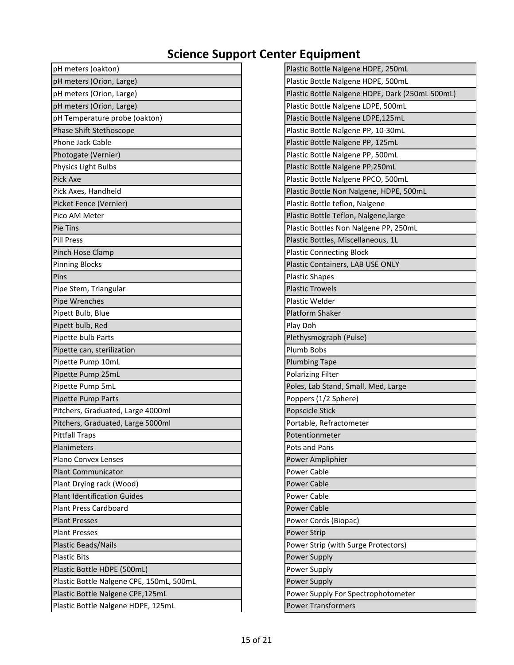| pH meters (oakton)                       | Plastic Bottle Nalgene HDPE, 250mL              |
|------------------------------------------|-------------------------------------------------|
| pH meters (Orion, Large)                 | Plastic Bottle Nalgene HDPE, 500mL              |
| pH meters (Orion, Large)                 | Plastic Bottle Nalgene HDPE, Dark (250mL 500mL) |
| pH meters (Orion, Large)                 | Plastic Bottle Nalgene LDPE, 500mL              |
| pH Temperature probe (oakton)            | Plastic Bottle Nalgene LDPE, 125mL              |
| Phase Shift Stethoscope                  | Plastic Bottle Nalgene PP, 10-30mL              |
| Phone Jack Cable                         | Plastic Bottle Nalgene PP, 125mL                |
| Photogate (Vernier)                      | Plastic Bottle Nalgene PP, 500mL                |
| Physics Light Bulbs                      | Plastic Bottle Nalgene PP,250mL                 |
| Pick Axe                                 | Plastic Bottle Nalgene PPCO, 500mL              |
| Pick Axes, Handheld                      | Plastic Bottle Non Nalgene, HDPE, 500mL         |
| Picket Fence (Vernier)                   | Plastic Bottle teflon, Nalgene                  |
| Pico AM Meter                            | Plastic Bottle Teflon, Nalgene, large           |
| Pie Tins                                 | Plastic Bottles Non Nalgene PP, 250mL           |
| <b>Pill Press</b>                        | Plastic Bottles, Miscellaneous, 1L              |
| Pinch Hose Clamp                         | <b>Plastic Connecting Block</b>                 |
| <b>Pinning Blocks</b>                    | Plastic Containers, LAB USE ONLY                |
| Pins                                     | <b>Plastic Shapes</b>                           |
| Pipe Stem, Triangular                    | <b>Plastic Trowels</b>                          |
| Pipe Wrenches                            | Plastic Welder                                  |
| Pipett Bulb, Blue                        | <b>Platform Shaker</b>                          |
| Pipett bulb, Red                         | Play Doh                                        |
| Pipette bulb Parts                       | Plethysmograph (Pulse)                          |
| Pipette can, sterilization               | Plumb Bobs                                      |
| Pipette Pump 10mL                        | <b>Plumbing Tape</b>                            |
| Pipette Pump 25mL                        | <b>Polarizing Filter</b>                        |
| Pipette Pump 5mL                         | Poles, Lab Stand, Small, Med, Large             |
| Pipette Pump Parts                       | Poppers (1/2 Sphere)                            |
| Pitchers, Graduated, Large 4000ml        | Popscicle Stick                                 |
| Pitchers, Graduated, Large 5000ml        | Portable, Refractometer                         |
| <b>Pittfall Traps</b>                    | Potentionmeter                                  |
| Planimeters                              | Pots and Pans                                   |
| Plano Convex Lenses                      | Power Ampliphier                                |
| <b>Plant Communicator</b>                | Power Cable                                     |
| Plant Drying rack (Wood)                 | <b>Power Cable</b>                              |
| <b>Plant Identification Guides</b>       | Power Cable                                     |
| <b>Plant Press Cardboard</b>             | <b>Power Cable</b>                              |
| <b>Plant Presses</b>                     | Power Cords (Biopac)                            |
| <b>Plant Presses</b>                     | <b>Power Strip</b>                              |
| <b>Plastic Beads/Nails</b>               | Power Strip (with Surge Protectors)             |
| <b>Plastic Bits</b>                      | Power Supply                                    |
| Plastic Bottle HDPE (500mL)              | Power Supply                                    |
| Plastic Bottle Nalgene CPE, 150mL, 500mL | Power Supply                                    |
| Plastic Bottle Nalgene CPE,125mL         | Power Supply For Spectrophotometer              |
| Plastic Bottle Nalgene HDPE, 125mL       | <b>Power Transformers</b>                       |
|                                          |                                                 |

| Plastic Bottle Nalgene HDPE, 250mL              |
|-------------------------------------------------|
| Plastic Bottle Nalgene HDPE, 500mL              |
| Plastic Bottle Nalgene HDPE, Dark (250mL 500mL) |
| Plastic Bottle Nalgene LDPE, 500mL              |
| Plastic Bottle Nalgene LDPE, 125mL              |
| Plastic Bottle Nalgene PP, 10-30mL              |
| Plastic Bottle Nalgene PP, 125mL                |
| Plastic Bottle Nalgene PP, 500mL                |
| Plastic Bottle Nalgene PP,250mL                 |
| Plastic Bottle Nalgene PPCO, 500mL              |
| Plastic Bottle Non Nalgene, HDPE, 500mL         |
| Plastic Bottle teflon, Nalgene                  |
| Plastic Bottle Teflon, Nalgene, large           |
| Plastic Bottles Non Nalgene PP, 250mL           |
| Plastic Bottles, Miscellaneous, 1L              |
| <b>Plastic Connecting Block</b>                 |
| Plastic Containers, LAB USE ONLY                |
| <b>Plastic Shapes</b>                           |
| <b>Plastic Trowels</b>                          |
| Plastic Welder                                  |
| <b>Platform Shaker</b>                          |
| Play Doh                                        |
| Plethysmograph (Pulse)                          |
| Plumb Bobs                                      |
| <b>Plumbing Tape</b>                            |
| <b>Polarizing Filter</b>                        |
| Poles, Lab Stand, Small, Med, Large             |
| Poppers (1/2 Sphere)                            |
| Popscicle Stick                                 |
| Portable, Refractometer                         |
| Potentionmeter                                  |
| Pots and Pans                                   |
| Power Ampliphier                                |
| <b>Power Cable</b>                              |
| <b>Power Cable</b>                              |
| <b>Power Cable</b>                              |
| <b>Power Cable</b>                              |
| Power Cords (Biopac)                            |
| <b>Power Strip</b>                              |
| Power Strip (with Surge Protectors)             |
| Power Supply                                    |
| Power Supply                                    |
| <b>Power Supply</b>                             |
| Power Supply For Spectrophotometer              |
| <b>Power Transformers</b>                       |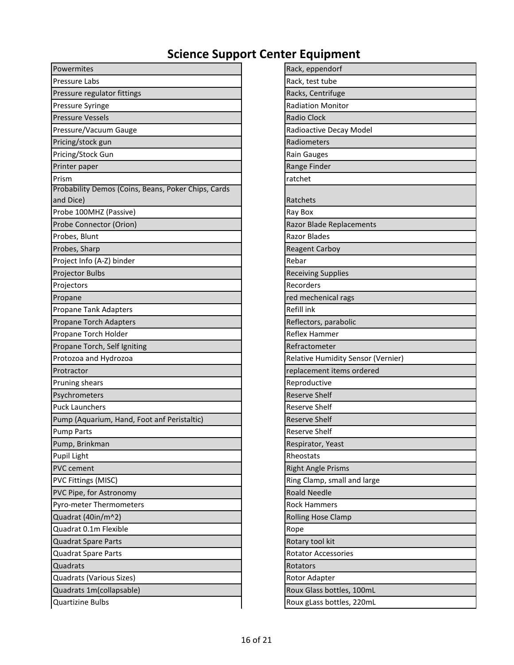| Powermites                                          | Rack, eppendorf                    |
|-----------------------------------------------------|------------------------------------|
| Pressure Labs                                       | Rack, test tube                    |
| Pressure regulator fittings                         | Racks, Centrifuge                  |
| Pressure Syringe                                    | <b>Radiation Monitor</b>           |
| <b>Pressure Vessels</b>                             | <b>Radio Clock</b>                 |
| Pressure/Vacuum Gauge                               | Radioactive Decay Model            |
| Pricing/stock gun                                   | Radiometers                        |
| Pricing/Stock Gun                                   | <b>Rain Gauges</b>                 |
| Printer paper                                       | Range Finder                       |
| Prism                                               | ratchet                            |
| Probability Demos (Coins, Beans, Poker Chips, Cards |                                    |
| and Dice)                                           | Ratchets                           |
| Probe 100MHZ (Passive)                              | Ray Box                            |
| Probe Connector (Orion)                             | <b>Razor Blade Replacements</b>    |
| Probes, Blunt                                       | <b>Razor Blades</b>                |
| Probes, Sharp                                       | <b>Reagent Carboy</b>              |
| Project Info (A-Z) binder                           | Rebar                              |
| Projector Bulbs                                     | <b>Receiving Supplies</b>          |
| Projectors                                          | Recorders                          |
| Propane                                             | red mechenical rags                |
| Propane Tank Adapters                               | Refill ink                         |
| Propane Torch Adapters                              | Reflectors, parabolic              |
| Propane Torch Holder                                | <b>Reflex Hammer</b>               |
| Propane Torch, Self Igniting                        | Refractometer                      |
| Protozoa and Hydrozoa                               | Relative Humidity Sensor (Vernier) |
| Protractor                                          | replacement items ordered          |
| Pruning shears                                      | Reproductive                       |
| Psychrometers                                       | <b>Reserve Shelf</b>               |
| <b>Puck Launchers</b>                               | <b>Reserve Shelf</b>               |
| Pump (Aquarium, Hand, Foot anf Peristaltic)         | <b>Reserve Shelf</b>               |
| <b>Pump Parts</b>                                   | <b>Reserve Shelf</b>               |
| Pump, Brinkman                                      | Respirator, Yeast                  |
| Pupil Light                                         | Rheostats                          |
| PVC cement                                          | <b>Right Angle Prisms</b>          |
| PVC Fittings (MISC)                                 | Ring Clamp, small and large        |
| PVC Pipe, for Astronomy                             | <b>Roald Needle</b>                |
| Pyro-meter Thermometers                             | <b>Rock Hammers</b>                |
| Quadrat (40in/m^2)                                  | <b>Rolling Hose Clamp</b>          |
| Quadrat 0.1m Flexible                               | Rope                               |
| Quadrat Spare Parts                                 | Rotary tool kit                    |
| Quadrat Spare Parts                                 | <b>Rotator Accessories</b>         |
| Quadrats                                            | Rotators                           |
| Quadrats (Various Sizes)                            | Rotor Adapter                      |
| Quadrats 1m(collapsable)                            | Roux Glass bottles, 100mL          |
| <b>Quartizine Bulbs</b>                             | Roux gLass bottles, 220mL          |

| Rack, eppendorf                    |
|------------------------------------|
| Rack, test tube                    |
| Racks, Centrifuge                  |
| <b>Radiation Monitor</b>           |
| <b>Radio Clock</b>                 |
| Radioactive Decay Model            |
| Radiometers                        |
| <b>Rain Gauges</b>                 |
| Range Finder                       |
| ratchet                            |
| Ratchets                           |
| Ray Box                            |
| <b>Razor Blade Replacements</b>    |
| <b>Razor Blades</b>                |
| <b>Reagent Carboy</b>              |
| Rebar                              |
| <b>Receiving Supplies</b>          |
| Recorders                          |
| red mechenical rags                |
| Refill ink                         |
| Reflectors, parabolic              |
| Reflex Hammer                      |
| Refractometer                      |
| Relative Humidity Sensor (Vernier) |
| replacement items ordered          |
| Reproductive                       |
| <b>Reserve Shelf</b>               |
| <b>Reserve Shelf</b>               |
| <b>Reserve Shelf</b>               |
| <b>Reserve Shelf</b>               |
| Respirator, Yeast                  |
| Rheostats                          |
| <b>Right Angle Prisms</b>          |
| Ring Clamp, small and large        |
| <b>Roald Needle</b>                |
| <b>Rock Hammers</b>                |
| <b>Rolling Hose Clamp</b>          |
| Rope                               |
| Rotary tool kit                    |
| <b>Rotator Accessories</b>         |
| Rotators                           |
| Rotor Adapter                      |
| Roux Glass bottles, 100mL          |
| <b>Douvalors hottles 220ml</b>     |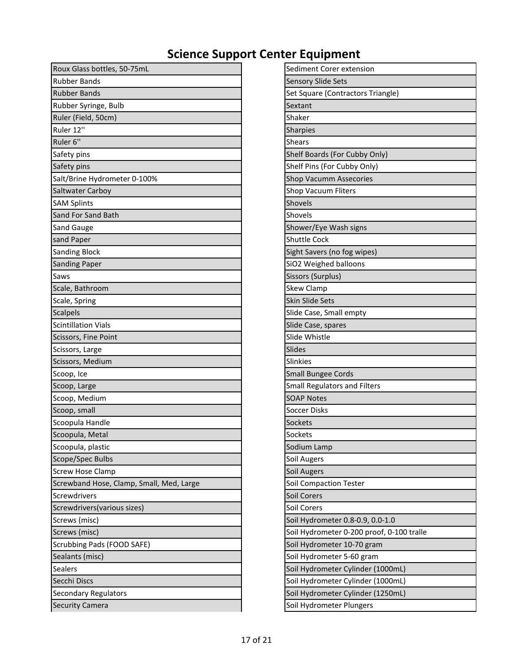| Roux Glass bottles, 50-75mL              | Sediment Corer extension                  |
|------------------------------------------|-------------------------------------------|
| <b>Rubber Bands</b>                      | <b>Sensory Slide Sets</b>                 |
| <b>Rubber Bands</b>                      | Set Square (Contractors Triangle)         |
| Rubber Syringe, Bulb                     | Sextant                                   |
| Ruler (Field, 50cm)                      | Shaker                                    |
| Ruler 12"                                | Sharpies                                  |
| Ruler 6"                                 | <b>Shears</b>                             |
| Safety pins                              | Shelf Boards (For Cubby Only)             |
| Safety pins                              | Shelf Pins (For Cubby Only)               |
| Salt/Brine Hydrometer 0-100%             | <b>Shop Vacumm Assecories</b>             |
| <b>Saltwater Carboy</b>                  | <b>Shop Vacuum Fliters</b>                |
| <b>SAM Splints</b>                       | Shovels                                   |
| Sand For Sand Bath                       | Shovels                                   |
| Sand Gauge                               | Shower/Eye Wash signs                     |
| sand Paper                               | <b>Shuttle Cock</b>                       |
| <b>Sanding Block</b>                     | Sight Savers (no fog wipes)               |
| <b>Sanding Paper</b>                     | SiO2 Weighed balloons                     |
| Saws                                     | Sissors (Surplus)                         |
| Scale, Bathroom                          | <b>Skew Clamp</b>                         |
| Scale, Spring                            | Skin Slide Sets                           |
| <b>Scalpels</b>                          | Slide Case, Small empty                   |
| <b>Scintillation Vials</b>               | Slide Case, spares                        |
| Scissors, Fine Point                     | Slide Whistle                             |
| Scissors, Large                          | Slides                                    |
| Scissors, Medium                         | <b>Slinkies</b>                           |
| Scoop, Ice                               | <b>Small Bungee Cords</b>                 |
| Scoop, Large                             | <b>Small Regulators and Filters</b>       |
| Scoop, Medium                            | <b>SOAP Notes</b>                         |
| Scoop, small                             | Soccer Disks                              |
| Scoopula Handle                          | Sockets                                   |
| Scoopula, Metal                          | Sockets                                   |
| Scoopula, plastic                        | Sodium Lamp                               |
| Scope/Spec Bulbs                         | Soil Augers                               |
| <b>Screw Hose Clamp</b>                  | Soil Augers                               |
| Screwband Hose, Clamp, Small, Med, Large | <b>Soil Compaction Tester</b>             |
| Screwdrivers                             | Soil Corers                               |
| Screwdrivers (various sizes)             | Soil Corers                               |
| Screws (misc)                            | Soil Hydrometer 0.8-0.9, 0.0-1.0          |
| Screws (misc)                            | Soil Hydrometer 0-200 proof, 0-100 tralle |
| Scrubbing Pads (FOOD SAFE)               | Soil Hydrometer 10-70 gram                |
| Sealants (misc)                          | Soil Hydrometer 5-60 gram                 |
| Sealers                                  | Soil Hydrometer Cylinder (1000mL)         |
| Secchi Discs                             | Soil Hydrometer Cylinder (1000mL)         |
| <b>Secondary Regulators</b>              | Soil Hydrometer Cylinder (1250mL)         |
| <b>Security Camera</b>                   | Soil Hydrometer Plungers                  |

| Sediment Corer extension                  |
|-------------------------------------------|
| Sensory Slide Sets                        |
| Set Square (Contractors Triangle)         |
| Sextant                                   |
| Shaker                                    |
| Sharpies                                  |
| Shears                                    |
| Shelf Boards (For Cubby Only)             |
| Shelf Pins (For Cubby Only)               |
| <b>Shop Vacumm Assecories</b>             |
| Shop Vacuum Fliters                       |
| Shovels                                   |
| Shovels                                   |
| Shower/Eye Wash signs                     |
| <b>Shuttle Cock</b>                       |
| Sight Savers (no fog wipes)               |
| SiO2 Weighed balloons                     |
| Sissors (Surplus)                         |
| <b>Skew Clamp</b>                         |
| <b>Skin Slide Sets</b>                    |
| Slide Case, Small empty                   |
| Slide Case, spares                        |
| Slide Whistle                             |
| <b>Slides</b>                             |
| <b>Slinkies</b>                           |
| Small Bungee Cords                        |
| <b>Small Regulators and Filters</b>       |
| <b>SOAP Notes</b>                         |
| Soccer Disks                              |
| Sockets                                   |
| Sockets                                   |
| Sodium Lamp                               |
| Soil Augers                               |
| Soil Augers                               |
| <b>Soil Compaction Tester</b>             |
| Soil Corers                               |
| Soil Corers                               |
| Soil Hydrometer 0.8-0.9, 0.0-1.0          |
| Soil Hydrometer 0-200 proof, 0-100 tralle |
| Soil Hydrometer 10-70 gram                |
| Soil Hydrometer 5-60 gram                 |
| Soil Hydrometer Cylinder (1000mL)         |
| Soil Hydrometer Cylinder (1000mL)         |
| Soil Hydrometer Cylinder (1250mL)         |
| Soil Hydrometer Plungers                  |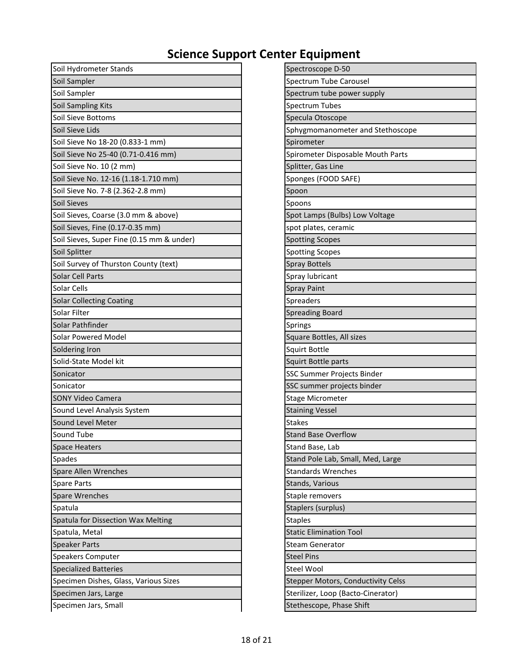| Soil Hydrometer Stands                    | Spectroscope D-50                  |
|-------------------------------------------|------------------------------------|
| Soil Sampler                              | Spectrum Tube Carousel             |
| Soil Sampler                              | Spectrum tube power supply         |
| Soil Sampling Kits                        | Spectrum Tubes                     |
| Soil Sieve Bottoms                        | Specula Otoscope                   |
| Soil Sieve Lids                           | Sphygmomanometer and Stethoscope   |
| Soil Sieve No 18-20 (0.833-1 mm)          | Spirometer                         |
| Soil Sieve No 25-40 (0.71-0.416 mm)       | Spirometer Disposable Mouth Parts  |
| Soil Sieve No. 10 (2 mm)                  | Splitter, Gas Line                 |
| Soil Sieve No. 12-16 (1.18-1.710 mm)      | Sponges (FOOD SAFE)                |
| Soil Sieve No. 7-8 (2.362-2.8 mm)         | Spoon                              |
| Soil Sieves                               | Spoons                             |
| Soil Sieves, Coarse (3.0 mm & above)      | Spot Lamps (Bulbs) Low Voltage     |
| Soil Sieves, Fine (0.17-0.35 mm)          | spot plates, ceramic               |
| Soil Sieves, Super Fine (0.15 mm & under) | <b>Spotting Scopes</b>             |
| Soil Splitter                             | <b>Spotting Scopes</b>             |
| Soil Survey of Thurston County (text)     | <b>Spray Bottels</b>               |
| Solar Cell Parts                          | Spray lubricant                    |
| Solar Cells                               | <b>Spray Paint</b>                 |
| <b>Solar Collecting Coating</b>           | Spreaders                          |
| Solar Filter                              | <b>Spreading Board</b>             |
| Solar Pathfinder                          | Springs                            |
| <b>Solar Powered Model</b>                | Square Bottles, All sizes          |
| Soldering Iron                            | Squirt Bottle                      |
| Solid-State Model kit                     | Squirt Bottle parts                |
| Sonicator                                 | SSC Summer Projects Binder         |
| Sonicator                                 | SSC summer projects binder         |
| <b>SONY Video Camera</b>                  | Stage Micrometer                   |
| Sound Level Analysis System               | <b>Staining Vessel</b>             |
| Sound Level Meter                         | <b>Stakes</b>                      |
| Sound Tube                                | <b>Stand Base Overflow</b>         |
| <b>Space Heaters</b>                      | Stand Base, Lab                    |
| Spades                                    | Stand Pole Lab, Small, Med, Large  |
| Spare Allen Wrenches                      | <b>Standards Wrenches</b>          |
| <b>Spare Parts</b>                        | Stands, Various                    |
| Spare Wrenches                            | Staple removers                    |
| Spatula                                   | Staplers (surplus)                 |
| Spatula for Dissection Wax Melting        | <b>Staples</b>                     |
| Spatula, Metal                            | <b>Static Elimination Tool</b>     |
| <b>Speaker Parts</b>                      | <b>Steam Generator</b>             |
| Speakers Computer                         | <b>Steel Pins</b>                  |
| <b>Specialized Batteries</b>              | Steel Wool                         |
| Specimen Dishes, Glass, Various Sizes     | Stepper Motors, Conductivity Celss |
| Specimen Jars, Large                      | Sterilizer, Loop (Bacto-Cinerator) |
| Specimen Jars, Small                      | Stethescope, Phase Shift           |

| -- -                               |
|------------------------------------|
| Spectroscope D-50                  |
| Spectrum Tube Carousel             |
| Spectrum tube power supply         |
| <b>Spectrum Tubes</b>              |
| Specula Otoscope                   |
| Sphygmomanometer and Stethoscope   |
| Spirometer                         |
| Spirometer Disposable Mouth Parts  |
| Splitter, Gas Line                 |
| Sponges (FOOD SAFE)                |
| Spoon                              |
| Spoons                             |
| Spot Lamps (Bulbs) Low Voltage     |
| spot plates, ceramic               |
| <b>Spotting Scopes</b>             |
| <b>Spotting Scopes</b>             |
| <b>Spray Bottels</b>               |
| Spray lubricant                    |
| <b>Spray Paint</b>                 |
| Spreaders                          |
| <b>Spreading Board</b>             |
| Springs                            |
| Square Bottles, All sizes          |
| Squirt Bottle                      |
| Squirt Bottle parts                |
| SSC Summer Projects Binder         |
| SSC summer projects binder         |
| <b>Stage Micrometer</b>            |
| <b>Staining Vessel</b>             |
| <b>Stakes</b>                      |
| <b>Stand Base Overflow</b>         |
| Stand Base, Lab                    |
| Stand Pole Lab, Small, Med, Large  |
| <b>Standards Wrenches</b>          |
| Stands, Various                    |
| Staple removers                    |
| Staplers (surplus)                 |
| <b>Staples</b>                     |
| <b>Static Elimination Tool</b>     |
| <b>Steam Generator</b>             |
| <b>Steel Pins</b>                  |
| <b>Steel Wool</b>                  |
| Stepper Motors, Conductivity Celss |
| Sterilizer, Loop (Bacto-Cinerator) |
| Stathassang Dhasa Shift            |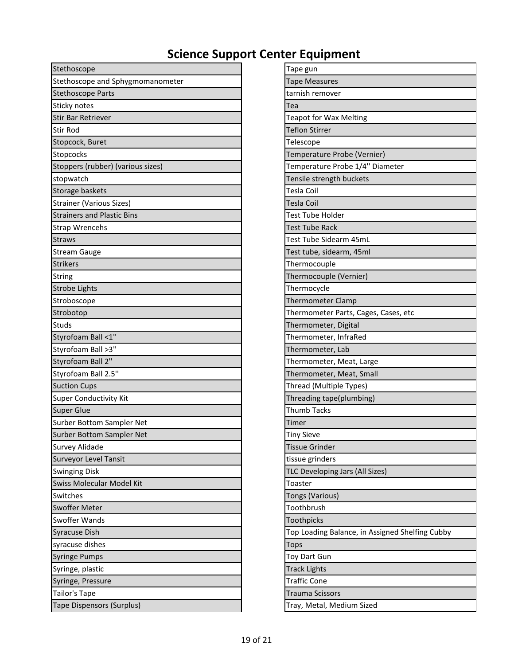| Stethoscope                       | Tape gun                                        |
|-----------------------------------|-------------------------------------------------|
| Stethoscope and Sphygmomanometer  | <b>Tape Measures</b>                            |
| <b>Stethoscope Parts</b>          | tarnish remover                                 |
| Sticky notes                      | Tea                                             |
| <b>Stir Bar Retriever</b>         | <b>Teapot for Wax Melting</b>                   |
| <b>Stir Rod</b>                   | <b>Teflon Stirrer</b>                           |
| Stopcock, Buret                   | Telescope                                       |
| Stopcocks                         | Temperature Probe (Vernier)                     |
| Stoppers (rubber) (various sizes) | Temperature Probe 1/4" Diameter                 |
| stopwatch                         | Tensile strength buckets                        |
| Storage baskets                   | <b>Tesla Coil</b>                               |
| <b>Strainer (Various Sizes)</b>   | <b>Tesla Coil</b>                               |
| <b>Strainers and Plastic Bins</b> | <b>Test Tube Holder</b>                         |
| <b>Strap Wrencehs</b>             | <b>Test Tube Rack</b>                           |
| <b>Straws</b>                     | Test Tube Sidearm 45mL                          |
| <b>Stream Gauge</b>               | Test tube, sidearm, 45ml                        |
| <b>Strikers</b>                   | Thermocouple                                    |
| String                            | Thermocouple (Vernier)                          |
| <b>Strobe Lights</b>              | Thermocycle                                     |
| Stroboscope                       | <b>Thermometer Clamp</b>                        |
| Strobotop                         | Thermometer Parts, Cages, Cases, etc            |
| Studs                             | Thermometer, Digital                            |
| Styrofoam Ball <1"                | Thermometer, InfraRed                           |
| Styrofoam Ball >3"                | Thermometer, Lab                                |
| Styrofoam Ball 2"                 | Thermometer, Meat, Large                        |
| Styrofoam Ball 2.5"               | Thermometer, Meat, Small                        |
| <b>Suction Cups</b>               | Thread (Multiple Types)                         |
| <b>Super Conductivity Kit</b>     | Threading tape(plumbing)                        |
| <b>Super Glue</b>                 | <b>Thumb Tacks</b>                              |
| Surber Bottom Sampler Net         | Timer                                           |
| Surber Bottom Sampler Net         | <b>Tiny Sieve</b>                               |
| <b>Survey Alidade</b>             | <b>Tissue Grinder</b>                           |
| <b>Surveyor Level Tansit</b>      | tissue grinders                                 |
| <b>Swinging Disk</b>              | TLC Developing Jars (All Sizes)                 |
| Swiss Molecular Model Kit         | Toaster                                         |
| Switches                          | Tongs (Various)                                 |
| Swoffer Meter                     | Toothbrush                                      |
| Swoffer Wands                     | Toothpicks                                      |
| Syracuse Dish                     | Top Loading Balance, in Assigned Shelfing Cubby |
| syracuse dishes                   | <b>Tops</b>                                     |
| <b>Syringe Pumps</b>              | Toy Dart Gun                                    |
| Syringe, plastic                  | <b>Track Lights</b>                             |
| Syringe, Pressure                 | <b>Traffic Cone</b>                             |
| Tailor's Tape                     | <b>Trauma Scissors</b>                          |
| <b>Tape Dispensors (Surplus)</b>  | Tray, Metal, Medium Sized                       |

| Tape gun                                        |
|-------------------------------------------------|
| <b>Tape Measures</b>                            |
| tarnish remover                                 |
| Tea                                             |
| <b>Teapot for Wax Melting</b>                   |
| <b>Teflon Stirrer</b>                           |
| Telescope                                       |
| Temperature Probe (Vernier)                     |
| Temperature Probe 1/4" Diameter                 |
| Tensile strength buckets                        |
| Tesla Coil                                      |
| Tesla Coil                                      |
| Test Tube Holder                                |
| <b>Test Tube Rack</b>                           |
| Test Tube Sidearm 45mL                          |
| Test tube, sidearm, 45ml                        |
| Thermocouple                                    |
| Thermocouple (Vernier)                          |
| Thermocycle                                     |
| <b>Thermometer Clamp</b>                        |
| Thermometer Parts, Cages, Cases, etc            |
| Thermometer, Digital                            |
| Thermometer, InfraRed                           |
| Thermometer, Lab                                |
| Thermometer, Meat, Large                        |
| Thermometer, Meat, Small                        |
| Thread (Multiple Types)                         |
| Threading tape(plumbing)                        |
| <b>Thumb Tacks</b>                              |
| Timer                                           |
| <b>Tiny Sieve</b>                               |
| <b>Tissue Grinder</b>                           |
| tissue grinders                                 |
| TLC Developing Jars (All Sizes)                 |
| Toaster                                         |
| <b>Tongs (Various)</b>                          |
| Toothbrush                                      |
| Toothpicks                                      |
| Top Loading Balance, in Assigned Shelfing Cubby |
| Tops                                            |
| Toy Dart Gun                                    |
| <b>Track Lights</b>                             |
| <b>Traffic Cone</b>                             |
| Trauma Scissors                                 |
| Trav. Metal. Medium Sized                       |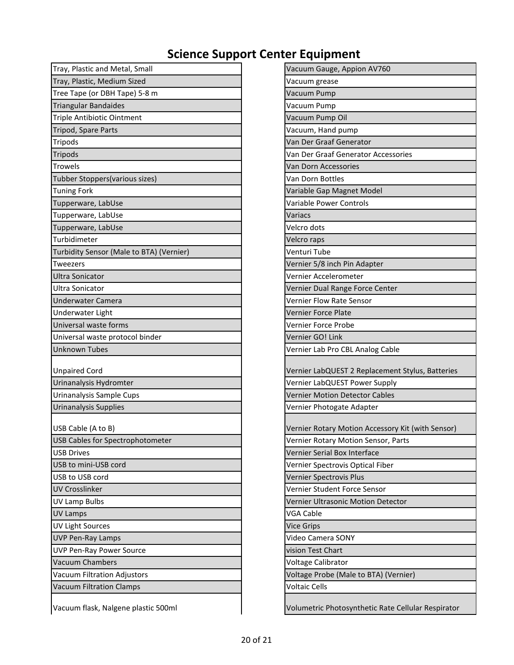| Tray, Plastic and Metal, Small           | Vacuum Gauge, Appion AV760                        |
|------------------------------------------|---------------------------------------------------|
| Tray, Plastic, Medium Sized              | Vacuum grease                                     |
| Tree Tape (or DBH Tape) 5-8 m            | Vacuum Pump                                       |
| <b>Triangular Bandaides</b>              | Vacuum Pump                                       |
| <b>Triple Antibiotic Ointment</b>        | Vacuum Pump Oil                                   |
| Tripod, Spare Parts                      | Vacuum, Hand pump                                 |
| <b>Tripods</b>                           | Van Der Graaf Generator                           |
| Tripods                                  | Van Der Graaf Generator Accessories               |
| <b>Trowels</b>                           | Van Dorn Accessories                              |
| Tubber Stoppers(various sizes)           | Van Dorn Bottles                                  |
| <b>Tuning Fork</b>                       | Variable Gap Magnet Model                         |
| Tupperware, LabUse                       | Variable Power Controls                           |
| Tupperware, LabUse                       | Variacs                                           |
| Tupperware, LabUse                       | Velcro dots                                       |
| Turbidimeter                             | Velcro raps                                       |
| Turbidity Sensor (Male to BTA) (Vernier) | Venturi Tube                                      |
| Tweezers                                 | Vernier 5/8 inch Pin Adapter                      |
| <b>Ultra Sonicator</b>                   | Vernier Accelerometer                             |
| Ultra Sonicator                          | Vernier Dual Range Force Center                   |
| <b>Underwater Camera</b>                 | <b>Vernier Flow Rate Sensor</b>                   |
| Underwater Light                         | Vernier Force Plate                               |
| Universal waste forms                    | Vernier Force Probe                               |
| Universal waste protocol binder          | Vernier GO! Link                                  |
| <b>Unknown Tubes</b>                     | Vernier Lab Pro CBL Analog Cable                  |
| <b>Unpaired Cord</b>                     | Vernier LabQUEST 2 Replacement Stylus, Batteries  |
| Urinanalysis Hydromter                   | Vernier LabQUEST Power Supply                     |
| Urinanalysis Sample Cups                 | <b>Vernier Motion Detector Cables</b>             |
| <b>Urinanalysis Supplies</b>             | Vernier Photogate Adapter                         |
|                                          |                                                   |
| USB Cable (A to B)                       | Vernier Rotary Motion Accessory Kit (with Sensor) |
| USB Cables for Spectrophotometer         | Vernier Rotary Motion Sensor, Parts               |
| <b>USB Drives</b>                        | Vernier Serial Box Interface                      |
| USB to mini-USB cord                     | Vernier Spectrovis Optical Fiber                  |
| USB to USB cord                          | Vernier Spectrovis Plus                           |
| <b>UV Crosslinker</b>                    | Vernier Student Force Sensor                      |
| UV Lamp Bulbs                            | Vernier Ultrasonic Motion Detector                |
| <b>UV Lamps</b>                          | VGA Cable                                         |
| <b>UV Light Sources</b>                  | <b>Vice Grips</b>                                 |
| <b>UVP Pen-Ray Lamps</b>                 | Video Camera SONY                                 |
| <b>UVP Pen-Ray Power Source</b>          | vision Test Chart                                 |
| <b>Vacuum Chambers</b>                   | Voltage Calibrator                                |
| Vacuum Filtration Adjustors              | Voltage Probe (Male to BTA) (Vernier)             |
| <b>Vacuum Filtration Clamps</b>          | <b>Voltaic Cells</b>                              |
|                                          |                                                   |

| Tray, Plastic and Metal, Small           | Vacuum Gauge, Appion AV760                         |
|------------------------------------------|----------------------------------------------------|
| Tray, Plastic, Medium Sized              | Vacuum grease                                      |
| Tree Tape (or DBH Tape) 5-8 m            | Vacuum Pump                                        |
| <b>Triangular Bandaides</b>              | Vacuum Pump                                        |
| Triple Antibiotic Ointment               | Vacuum Pump Oil                                    |
| Tripod, Spare Parts                      | Vacuum, Hand pump                                  |
| Tripods                                  | Van Der Graaf Generator                            |
| Tripods                                  | Van Der Graaf Generator Accessories                |
| <b>Trowels</b>                           | Van Dorn Accessories                               |
| Tubber Stoppers(various sizes)           | Van Dorn Bottles                                   |
| <b>Tuning Fork</b>                       | Variable Gap Magnet Model                          |
| Tupperware, LabUse                       | Variable Power Controls                            |
| Tupperware, LabUse                       | Variacs                                            |
| Tupperware, LabUse                       | Velcro dots                                        |
| Turbidimeter                             | Velcro raps                                        |
| Turbidity Sensor (Male to BTA) (Vernier) | Venturi Tube                                       |
| <b>Tweezers</b>                          | Vernier 5/8 inch Pin Adapter                       |
| <b>Ultra Sonicator</b>                   | Vernier Accelerometer                              |
| Ultra Sonicator                          | Vernier Dual Range Force Center                    |
| Underwater Camera                        | Vernier Flow Rate Sensor                           |
| Underwater Light                         | Vernier Force Plate                                |
| Universal waste forms                    | Vernier Force Probe                                |
| Universal waste protocol binder          | Vernier GO! Link                                   |
| <b>Unknown Tubes</b>                     | Vernier Lab Pro CBL Analog Cable                   |
|                                          |                                                    |
| <b>Unpaired Cord</b>                     | Vernier LabQUEST 2 Replacement Stylus, Batteries   |
| Urinanalysis Hydromter                   | Vernier LabQUEST Power Supply                      |
| Urinanalysis Sample Cups                 | Vernier Motion Detector Cables                     |
| Urinanalysis Supplies                    | Vernier Photogate Adapter                          |
| USB Cable (A to B)                       | Vernier Rotary Motion Accessory Kit (with Sensor)  |
| USB Cables for Spectrophotometer         | Vernier Rotary Motion Sensor, Parts                |
| <b>USB Drives</b>                        | Vernier Serial Box Interface                       |
| USB to mini-USB cord                     | Vernier Spectrovis Optical Fiber                   |
| USB to USB cord                          | Vernier Spectrovis Plus                            |
| <b>UV Crosslinker</b>                    | Vernier Student Force Sensor                       |
| <b>UV Lamp Bulbs</b>                     | Vernier Ultrasonic Motion Detector                 |
| UV Lamps                                 | VGA Cable                                          |
| <b>UV Light Sources</b>                  | <b>Vice Grips</b>                                  |
| <b>UVP Pen-Ray Lamps</b>                 | Video Camera SONY                                  |
| <b>UVP Pen-Ray Power Source</b>          | vision Test Chart                                  |
| <b>Vacuum Chambers</b>                   | Voltage Calibrator                                 |
| Vacuum Filtration Adjustors              | Voltage Probe (Male to BTA) (Vernier)              |
| <b>Vacuum Filtration Clamps</b>          | <b>Voltaic Cells</b>                               |
|                                          |                                                    |
| Vacuum flask, Nalgene plastic 500ml      | Volumetric Photosynthetic Rate Cellular Respirator |